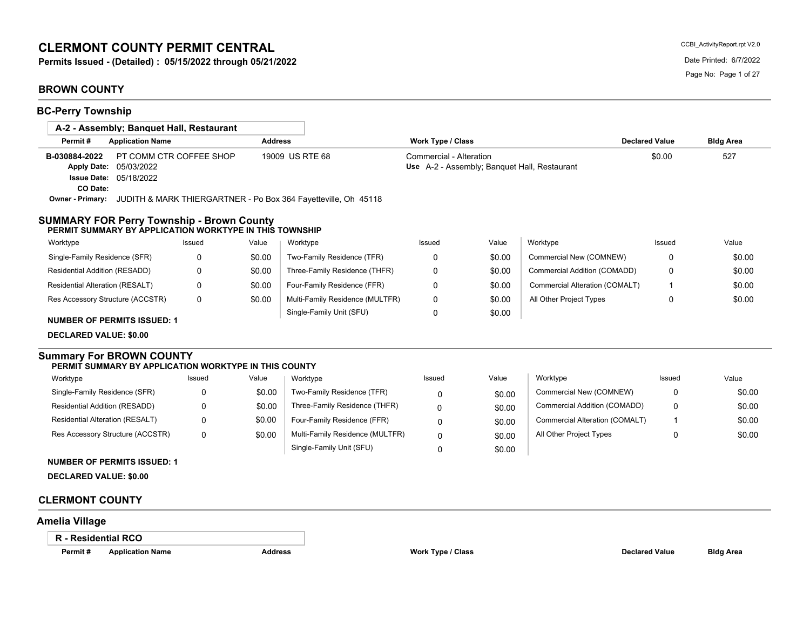# **CLERMONT COUNTY PERMIT CENTRAL**

**Permits Issued - (Detailed) : 05/15/2022 through 05/21/2022** Date Printed: 6/7/2022

# **BROWN COUNTY**

| <b>BC-Perry Township</b>                                                                                                                                                |                         |                |                                 |                                                                         |        |                                |                       |                  |
|-------------------------------------------------------------------------------------------------------------------------------------------------------------------------|-------------------------|----------------|---------------------------------|-------------------------------------------------------------------------|--------|--------------------------------|-----------------------|------------------|
| A-2 - Assembly; Banguet Hall, Restaurant                                                                                                                                |                         |                |                                 |                                                                         |        |                                |                       |                  |
| Permit#<br><b>Application Name</b>                                                                                                                                      |                         | <b>Address</b> |                                 | Work Type / Class                                                       |        |                                | <b>Declared Value</b> | <b>Bldg Area</b> |
| B-030884-2022<br>Apply Date: 05/03/2022<br><b>Issue Date: 05/18/2022</b><br>CO Date:<br>Owner - Primary: JUDITH & MARK THIERGARTNER - Po Box 364 Fayetteville, Oh 45118 | PT COMM CTR COFFEE SHOP |                | 19009 US RTE 68                 | Commercial - Alteration<br>Use A-2 - Assembly; Banquet Hall, Restaurant |        |                                | \$0.00                | 527              |
| <b>SUMMARY FOR Perry Township - Brown County</b><br>PERMIT SUMMARY BY APPLICATION WORKTYPE IN THIS TOWNSHIP                                                             |                         |                |                                 |                                                                         |        |                                |                       |                  |
| Worktype                                                                                                                                                                | Issued                  | Value          | Worktype                        | Issued                                                                  | Value  | Worktype                       | Issued                | Value            |
| Single-Family Residence (SFR)                                                                                                                                           | $\Omega$                | \$0.00         | Two-Family Residence (TFR)      | $\Omega$                                                                | \$0.00 | Commercial New (COMNEW)        | 0                     | \$0.00           |
| Residential Addition (RESADD)                                                                                                                                           | 0                       | \$0.00         | Three-Family Residence (THFR)   | 0                                                                       | \$0.00 | Commercial Addition (COMADD)   | 0                     | \$0.00           |
| Residential Alteration (RESALT)                                                                                                                                         | $\Omega$                | \$0.00         | Four-Family Residence (FFR)     | $\mathbf 0$                                                             | \$0.00 | Commercial Alteration (COMALT) | -1                    | \$0.00           |
| Res Accessory Structure (ACCSTR)                                                                                                                                        | $\Omega$                | \$0.00         | Multi-Family Residence (MULTFR) | $\mathbf 0$                                                             | \$0.00 | All Other Project Types        | 0                     | \$0.00           |
| <b>NUMBER OF PERMITS ISSUED: 1</b>                                                                                                                                      |                         |                | Single-Family Unit (SFU)        | $\mathbf 0$                                                             | \$0.00 |                                |                       |                  |
| <b>DECLARED VALUE: \$0.00</b>                                                                                                                                           |                         |                |                                 |                                                                         |        |                                |                       |                  |
| <b>Summary For BROWN COUNTY</b><br>PERMIT SUMMARY BY APPLICATION WORKTYPE IN THIS COUNTY                                                                                |                         |                |                                 |                                                                         |        |                                |                       |                  |
| Worktype                                                                                                                                                                | Issued                  | Value          | Worktype                        | Issued                                                                  | Value  | Worktype                       | Issued                | Value            |
| Single-Family Residence (SFR)                                                                                                                                           | 0                       | \$0.00         | Two-Family Residence (TFR)      | $\Omega$                                                                | \$0.00 | Commercial New (COMNEW)        | 0                     | \$0.00           |
| Residential Addition (RESADD)                                                                                                                                           | 0                       | \$0.00         | Three-Family Residence (THFR)   | 0                                                                       | \$0.00 | Commercial Addition (COMADD)   | 0                     | \$0.00           |
| Residential Alteration (RESALT)                                                                                                                                         | 0                       | \$0.00         | Four-Family Residence (FFR)     | 0                                                                       | \$0.00 | Commercial Alteration (COMALT) | 1                     | \$0.00           |
| Res Accessory Structure (ACCSTR)                                                                                                                                        | 0                       | \$0.00         | Multi-Family Residence (MULTFR) | $\Omega$                                                                | \$0.00 | All Other Project Types        | 0                     | \$0.00           |
|                                                                                                                                                                         |                         |                | Single-Family Unit (SFU)        | $\Omega$                                                                | \$0.00 |                                |                       |                  |
| <b>NUMBER OF PERMITS ISSUED: 1</b>                                                                                                                                      |                         |                |                                 |                                                                         |        |                                |                       |                  |
| <b>DECLARED VALUE: \$0.00</b>                                                                                                                                           |                         |                |                                 |                                                                         |        |                                |                       |                  |
| <b>CLERMONT COUNTY</b>                                                                                                                                                  |                         |                |                                 |                                                                         |        |                                |                       |                  |
| .                                                                                                                                                                       |                         |                |                                 |                                                                         |        |                                |                       |                  |

## **Amelia Village**

## **R - Residential RCO**

**Permit # Application Name Address Work Type / Class Declared Value Bldg Area**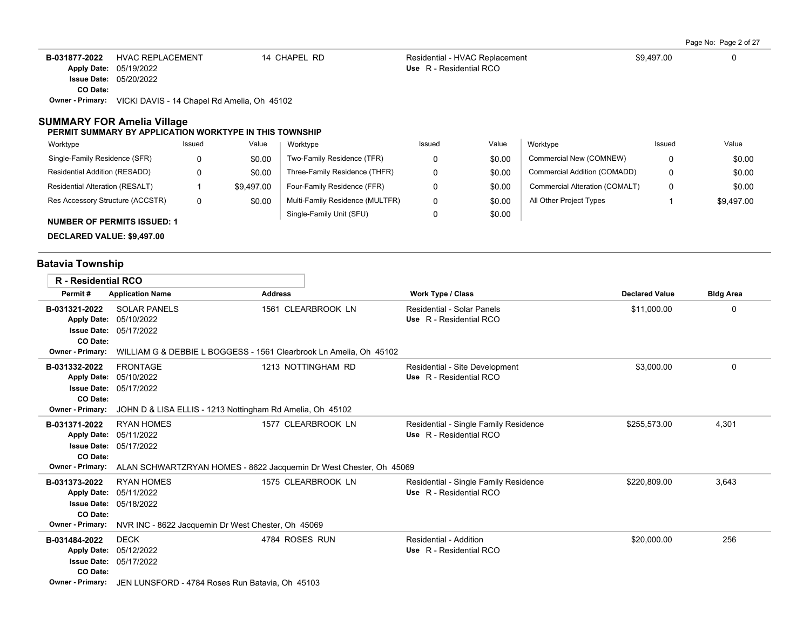| B-031877-2022           | HVAC REPLACEMENT                            | 14 CHAPEL RD | Residential - HVAC Replacement | \$9.497.00 |  |
|-------------------------|---------------------------------------------|--------------|--------------------------------|------------|--|
|                         | <b>Apply Date: 05/19/2022</b>               |              | Use R - Residential RCO        |            |  |
|                         | <b>Issue Date: 05/20/2022</b>               |              |                                |            |  |
| CO Date:                |                                             |              |                                |            |  |
| <b>Owner - Primary:</b> | VICKI DAVIS - 14 Chapel Rd Amelia, Oh 45102 |              |                                |            |  |

### **SUMMARY FOR Amelia Village**

#### **PERMIT SUMMARY BY APPLICATION WORKTYPE IN THIS TOWNSHIP**

| Worktype                             | Issued | Value      | Worktype                        | Issued | Value  | Worktype                       | Issued | Value      |
|--------------------------------------|--------|------------|---------------------------------|--------|--------|--------------------------------|--------|------------|
| Single-Family Residence (SFR)        | 0      | \$0.00     | Two-Family Residence (TFR)      |        | \$0.00 | Commercial New (COMNEW)        |        | \$0.00     |
| <b>Residential Addition (RESADD)</b> | n      | \$0.00     | Three-Family Residence (THFR)   |        | \$0.00 | Commercial Addition (COMADD)   |        | \$0.00     |
| Residential Alteration (RESALT)      |        | \$9.497.00 | Four-Family Residence (FFR)     |        | \$0.00 | Commercial Alteration (COMALT) | 0      | \$0.00     |
| Res Accessory Structure (ACCSTR)     | 0      | \$0.00     | Multi-Family Residence (MULTFR) | 0      | \$0.00 | All Other Project Types        |        | \$9,497.00 |
| <b>NUMBER OF PERMITS ISSUED: 1</b>   |        |            | Single-Family Unit (SFU)        |        | \$0.00 |                                |        |            |

**DECLARED VALUE: \$9,497.00**

# **Batavia Township**

| <b>R</b> - Residential RCO                                                                       |                                                                                                                             |                                                                                          |                                                                  |                       |                  |
|--------------------------------------------------------------------------------------------------|-----------------------------------------------------------------------------------------------------------------------------|------------------------------------------------------------------------------------------|------------------------------------------------------------------|-----------------------|------------------|
| Permit#                                                                                          | <b>Application Name</b>                                                                                                     | <b>Address</b>                                                                           | <b>Work Type / Class</b>                                         | <b>Declared Value</b> | <b>Bldg Area</b> |
| B-031321-2022<br><b>Apply Date:</b><br>CO Date:                                                  | <b>SOLAR PANELS</b><br>05/10/2022<br><b>Issue Date: 05/17/2022</b>                                                          | 1561 CLEARBROOK LN                                                                       | Residential - Solar Panels<br>Use R - Residential RCO            | \$11,000.00           | 0                |
| <b>Owner - Primary:</b>                                                                          |                                                                                                                             | WILLIAM G & DEBBIE L BOGGESS - 1561 Clearbrook Ln Amelia. Oh 45102                       |                                                                  |                       |                  |
| B-031332-2022<br><b>Apply Date:</b><br>CO Date:<br><b>Owner - Primary:</b>                       | <b>FRONTAGE</b><br>05/10/2022<br><b>Issue Date: 05/17/2022</b><br>JOHN D & LISA ELLIS - 1213 Nottingham Rd Amelia, Oh 45102 | 1213 NOTTINGHAM RD                                                                       | Residential - Site Development<br>Use R - Residential RCO        | \$3,000.00            | 0                |
| B-031371-2022<br><b>Apply Date:</b><br>CO Date:<br>Owner - Primary:                              | <b>RYAN HOMES</b><br>05/11/2022<br><b>Issue Date: 05/17/2022</b>                                                            | 1577 CLEARBROOK LN<br>ALAN SCHWARTZRYAN HOMES - 8622 Jacquemin Dr West Chester, Oh 45069 | Residential - Single Family Residence<br>Use R - Residential RCO | \$255,573.00          | 4,301            |
| B-031373-2022<br><b>Apply Date:</b><br>CO Date:<br><b>Owner - Primary:</b>                       | <b>RYAN HOMES</b><br>05/11/2022<br><b>Issue Date: 05/18/2022</b><br>NVR INC - 8622 Jacquemin Dr West Chester, Oh 45069      | 1575 CLEARBROOK LN                                                                       | Residential - Single Family Residence<br>Use R - Residential RCO | \$220,809.00          | 3,643            |
| B-031484-2022<br><b>Apply Date:</b><br><b>Issue Date:</b><br>CO Date:<br><b>Owner - Primary:</b> | <b>DECK</b><br>05/12/2022<br>05/17/2022<br>JEN LUNSFORD - 4784 Roses Run Batavia, Oh 45103                                  | 4784 ROSES RUN                                                                           | Residential - Addition<br>Use R - Residential RCO                | \$20,000.00           | 256              |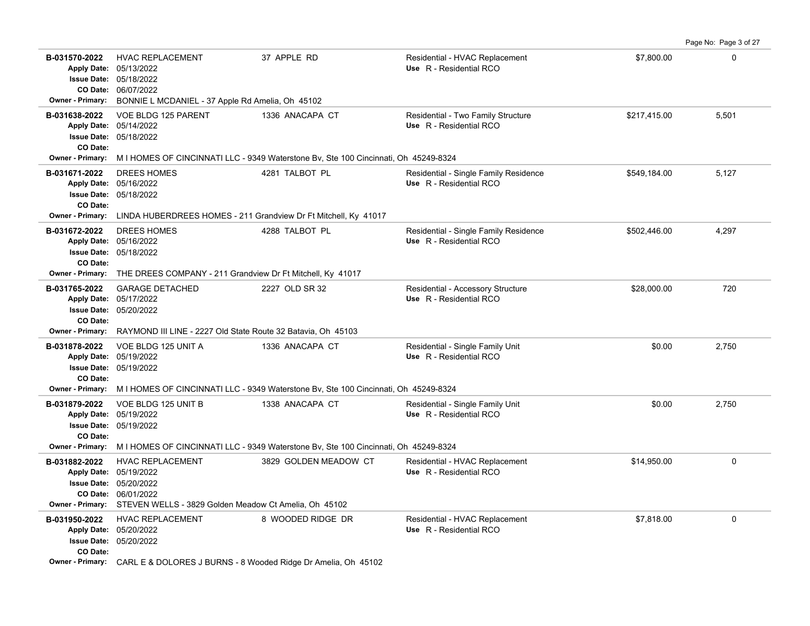|                                                 |                                                                                                                                                                    |                       |                                                                  |              | Page No: Page 3 of 27 |
|-------------------------------------------------|--------------------------------------------------------------------------------------------------------------------------------------------------------------------|-----------------------|------------------------------------------------------------------|--------------|-----------------------|
| B-031570-2022<br><b>Owner - Primary:</b>        | <b>HVAC REPLACEMENT</b><br>Apply Date: 05/13/2022<br>Issue Date: 05/18/2022<br>CO Date: 06/07/2022<br>BONNIE L MCDANIEL - 37 Apple Rd Amelia, Oh 45102             | 37 APPLE RD           | Residential - HVAC Replacement<br>Use R - Residential RCO        | \$7,800.00   | $\Omega$              |
| B-031638-2022                                   | VOE BLDG 125 PARENT                                                                                                                                                | 1336 ANACAPA CT       | Residential - Two Family Structure                               | \$217,415.00 | 5,501                 |
| CO Date:                                        | Apply Date: 05/14/2022<br>Issue Date: 05/18/2022                                                                                                                   |                       | Use R - Residential RCO                                          |              |                       |
| <b>Owner - Primary:</b>                         | M I HOMES OF CINCINNATI LLC - 9349 Waterstone Bv, Ste 100 Cincinnati, Oh 45249-8324                                                                                |                       |                                                                  |              |                       |
| B-031671-2022<br>CO Date:                       | <b>DREES HOMES</b><br>Apply Date: 05/16/2022<br><b>Issue Date: 05/18/2022</b>                                                                                      | 4281 TALBOT PL        | Residential - Single Family Residence<br>Use R - Residential RCO | \$549,184.00 | 5,127                 |
| <b>Owner - Primary:</b>                         | LINDA HUBERDREES HOMES - 211 Grandview Dr Ft Mitchell, Ky 41017                                                                                                    |                       |                                                                  |              |                       |
| B-031672-2022<br>CO Date:                       | <b>DREES HOMES</b><br>Apply Date: 05/16/2022<br><b>Issue Date: 05/18/2022</b>                                                                                      | 4288 TALBOT PL        | Residential - Single Family Residence<br>Use R - Residential RCO | \$502,446.00 | 4,297                 |
| Owner - Primary:                                | THE DREES COMPANY - 211 Grandview Dr Ft Mitchell, Ky 41017                                                                                                         |                       |                                                                  |              |                       |
| B-031765-2022<br><b>Apply Date:</b><br>CO Date: | <b>GARAGE DETACHED</b><br>05/17/2022<br><b>Issue Date: 05/20/2022</b>                                                                                              | 2227 OLD SR 32        | Residential - Accessory Structure<br>Use R - Residential RCO     | \$28,000.00  | 720                   |
|                                                 | Owner - Primary: RAYMOND III LINE - 2227 Old State Route 32 Batavia, Oh 45103                                                                                      |                       |                                                                  |              |                       |
| B-031878-2022<br>CO Date:                       | VOE BLDG 125 UNIT A<br>Apply Date: 05/19/2022<br><b>Issue Date: 05/19/2022</b>                                                                                     | 1336 ANACAPA CT       | Residential - Single Family Unit<br>Use R - Residential RCO      | \$0.00       | 2,750                 |
|                                                 | Owner - Primary: MIHOMES OF CINCINNATI LLC - 9349 Waterstone Bv, Ste 100 Cincinnati, Oh 45249-8324                                                                 |                       |                                                                  |              |                       |
| B-031879-2022<br>CO Date:                       | VOE BLDG 125 UNIT B<br>Apply Date: 05/19/2022<br><b>Issue Date: 05/19/2022</b>                                                                                     | 1338 ANACAPA CT       | Residential - Single Family Unit<br>Use R - Residential RCO      | \$0.00       | 2,750                 |
|                                                 | Owner - Primary: M I HOMES OF CINCINNATI LLC - 9349 Waterstone By, Ste 100 Cincinnati, Oh 45249-8324                                                               |                       |                                                                  |              |                       |
| B-031882-2022<br><b>Owner - Primary:</b>        | <b>HVAC REPLACEMENT</b><br>Apply Date: 05/19/2022<br><b>Issue Date: 05/20/2022</b><br>CO Date: 06/01/2022<br>STEVEN WELLS - 3829 Golden Meadow Ct Amelia, Oh 45102 | 3829 GOLDEN MEADOW CT | Residential - HVAC Replacement<br>Use R - Residential RCO        | \$14,950.00  | $\mathbf 0$           |
| B-031950-2022<br>CO Date:                       | <b>HVAC REPLACEMENT</b><br>Apply Date: 05/20/2022<br><b>Issue Date: 05/20/2022</b>                                                                                 | 8 WOODED RIDGE DR     | Residential - HVAC Replacement<br>Use R - Residential RCO        | \$7,818.00   | $\mathbf 0$           |
|                                                 | <b>Owner - Primary:</b> CARL E & DOLORES J BURNS - 8 Wooded Ridge Dr Amelia, Oh 45102                                                                              |                       |                                                                  |              |                       |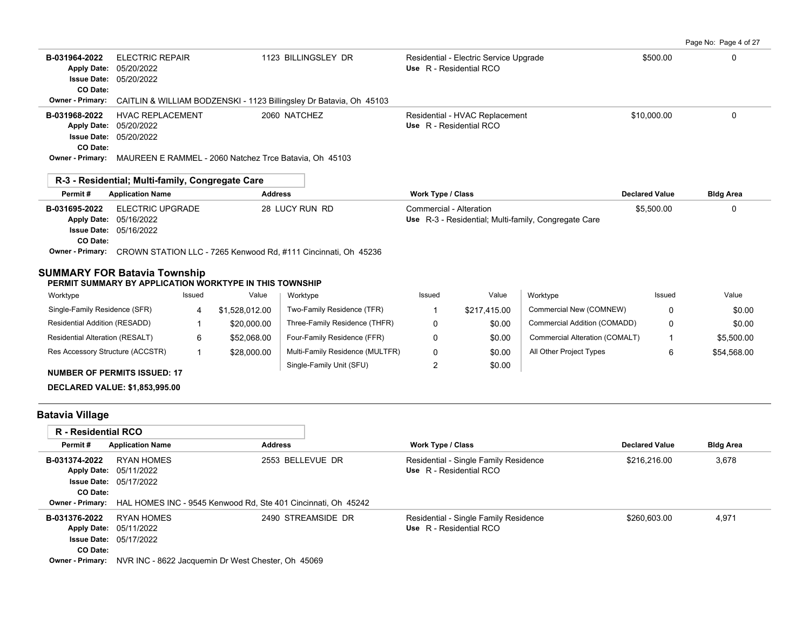Page No: Page 4 of 27

| B-031964-2022<br><b>ELECTRIC REPAIR</b><br>05/20/2022<br><b>Apply Date:</b><br><b>Issue Date: 05/20/2022</b><br>CO Date: |              |                | 1123 BILLINGSLEY DR                                                 |                          | Residential - Electric Service Upgrade<br>Use R - Residential RCO |                                                      | \$500.00              | 0                |
|--------------------------------------------------------------------------------------------------------------------------|--------------|----------------|---------------------------------------------------------------------|--------------------------|-------------------------------------------------------------------|------------------------------------------------------|-----------------------|------------------|
| Owner - Primary:                                                                                                         |              |                | CAITLIN & WILLIAM BODZENSKI - 1123 Billingsley Dr Batavia, Oh 45103 |                          |                                                                   |                                                      |                       |                  |
| <b>HVAC REPLACEMENT</b><br>B-031968-2022<br>05/20/2022<br><b>Apply Date:</b>                                             |              |                | 2060 NATCHEZ                                                        |                          | Residential - HVAC Replacement<br>Use R - Residential RCO         |                                                      | \$10,000.00           | 0                |
| <b>Issue Date: 05/20/2022</b>                                                                                            |              |                |                                                                     |                          |                                                                   |                                                      |                       |                  |
| CO Date:                                                                                                                 |              |                |                                                                     |                          |                                                                   |                                                      |                       |                  |
| Owner - Primary: MAUREEN E RAMMEL - 2060 Natchez Trce Batavia, Oh 45103                                                  |              |                |                                                                     |                          |                                                                   |                                                      |                       |                  |
| R-3 - Residential; Multi-family, Congregate Care                                                                         |              |                |                                                                     |                          |                                                                   |                                                      |                       |                  |
| Permit#<br><b>Application Name</b>                                                                                       |              | <b>Address</b> |                                                                     | Work Type / Class        |                                                                   |                                                      | <b>Declared Value</b> | <b>Bldg Area</b> |
| ELECTRIC UPGRADE<br>B-031695-2022<br>05/16/2022<br><b>Apply Date:</b><br><b>Issue Date: 05/16/2022</b>                   |              |                | 28 LUCY RUN RD                                                      | Commercial - Alteration  |                                                                   | Use R-3 - Residential; Multi-family, Congregate Care | \$5,500.00            | 0                |
| CO Date:<br>Owner - Primary: CROWN STATION LLC - 7265 Kenwood Rd, #111 Cincinnati, Oh 45236                              |              |                |                                                                     |                          |                                                                   |                                                      |                       |                  |
| <b>SUMMARY FOR Batavia Township</b><br>PERMIT SUMMARY BY APPLICATION WORKTYPE IN THIS TOWNSHIP                           |              |                |                                                                     |                          |                                                                   |                                                      |                       |                  |
| Worktype                                                                                                                 | Issued       | Value          | Worktype                                                            | Issued                   | Value                                                             | Worktype                                             | Issued                | Value            |
| Single-Family Residence (SFR)                                                                                            | 4            | \$1,528,012.00 | Two-Family Residence (TFR)                                          | 1                        | \$217,415.00                                                      | Commercial New (COMNEW)                              | $\mathbf 0$           | \$0.00           |
| Residential Addition (RESADD)                                                                                            | 1            | \$20,000.00    | Three-Family Residence (THFR)                                       | 0                        | \$0.00                                                            | Commercial Addition (COMADD)                         | 0                     | \$0.00           |
| Residential Alteration (RESALT)                                                                                          | 6            | \$52,068.00    | Four-Family Residence (FFR)                                         | 0                        | \$0.00                                                            | Commercial Alteration (COMALT)                       | 1                     | \$5,500.00       |
| Res Accessory Structure (ACCSTR)                                                                                         | $\mathbf{1}$ | \$28,000.00    | Multi-Family Residence (MULTFR)                                     | 0                        | \$0.00                                                            | All Other Project Types                              | 6                     | \$54,568.00      |
| <b>NUMBER OF PERMITS ISSUED: 17</b>                                                                                      |              |                | Single-Family Unit (SFU)                                            | 2                        | \$0.00                                                            |                                                      |                       |                  |
| <b>DECLARED VALUE: \$1,853,995.00</b>                                                                                    |              |                |                                                                     |                          |                                                                   |                                                      |                       |                  |
| <b>Batavia Village</b>                                                                                                   |              |                |                                                                     |                          |                                                                   |                                                      |                       |                  |
| R - Residential RCO                                                                                                      |              |                |                                                                     |                          |                                                                   |                                                      |                       |                  |
| Permit#<br><b>Application Name</b>                                                                                       |              | <b>Address</b> |                                                                     | <b>Work Type / Class</b> |                                                                   |                                                      | <b>Declared Value</b> | <b>Bldg Area</b> |
| <b>RYAN HOMES</b><br>B-031374-2022<br>Apply Date: 05/11/2022                                                             |              |                | 2553 BELLEVUE DR                                                    | Use R - Residential RCO  | Residential - Single Family Residence                             |                                                      | \$216,216.00          | 3,678            |

| <b>B-031376-2022</b> RYAN HOMES |                                                                            | 2490 STREAMSIDE DR | Residential - Single Family Residence | \$260.603.00 | 4.971 |
|---------------------------------|----------------------------------------------------------------------------|--------------------|---------------------------------------|--------------|-------|
|                                 | <b>Apply Date: 05/11/2022</b>                                              |                    | Use R - Residential RCO               |              |       |
|                                 | <b>Issue Date: 05/17/2022</b>                                              |                    |                                       |              |       |
| CO Date:                        |                                                                            |                    |                                       |              |       |
|                                 | <b>Owner - Primary:</b> NVR INC - 8622 Jacquemin Dr West Chester, Oh 45069 |                    |                                       |              |       |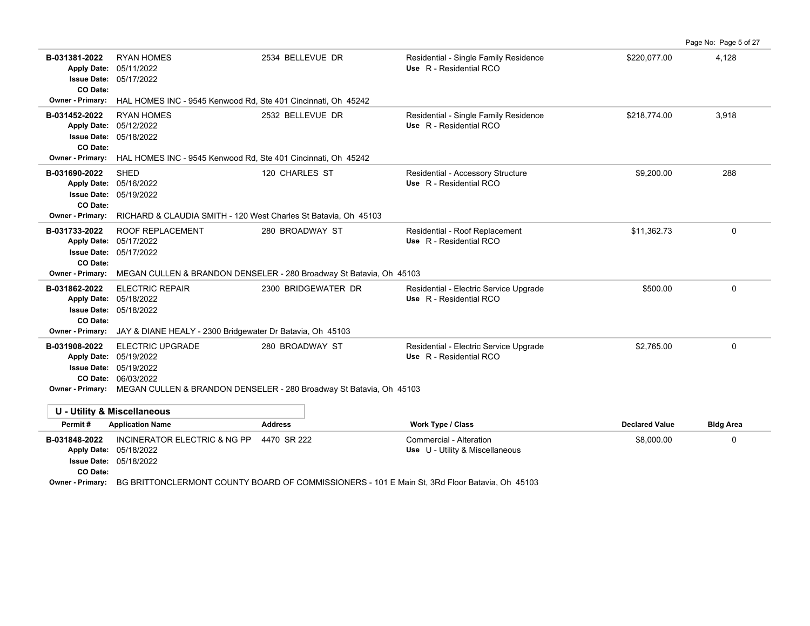B-031381-2022 RYAN HOMES 2534 BELLEVUE DR Residential - Single Family Residence \$220,077.00 4,128 05/17/2022 **Issue Date:** Apply Date: 05/11/2022 **Apply Date: Use** R - Residential RCO **CO Date: Owner - Primary:** HAL HOMES INC - 9545 Kenwood Rd, Ste 401 Cincinnati, Oh 45242 B-031452-2022 RYAN HOMES 2532 BELLEVUE DR Residential - Single Family Residence \$218,774.00 3,918 05/18/2022 **Issue Date:** 05/12/2022 **Apply Date: Use** R - Residential RCO **CO Date: Owner - Primary:** HAL HOMES INC - 9545 Kenwood Rd, Ste 401 Cincinnati, Oh 45242 **B-031690-2022** \$9,200.00 288 SHED 120 CHARLES ST Residential - Accessory Structure 05/19/2022 **Issue Date:** 05/16/2022 **Apply Date: Use** R - Residential RCO **CO Date: Owner - Primary:** RICHARD & CLAUDIA SMITH - 120 West Charles St Batavia, Oh 45103 B-031733-2022 ROOF REPLACEMENT 280 BROADWAY ST Residential - Roof Replacement \$11,362.73 \$62.73 05/17/2022 **Issue Date:** Apply Date: 05/17/2022 **Apply Date: Use** R - Residential RCO **CO Date: Owner - Primary:** MEGAN CULLEN & BRANDON DENSELER - 280 Broadway St Batavia, Oh 45103 **B-031862-2022** ELECTRIC REPAIR 2300 BRIDGEWATER DR Residential - Electric Service Upgrade \$500.00 \$500.00 0 05/18/2022 **Issue Date:** Apply Date: 05/18/2022 **Apply Date: Use** R - Residential RCO **CO Date: Owner - Primary:** JAY & DIANE HEALY - 2300 Bridgewater Dr Batavia, Oh 45103 B-031908-2022 ELECTRIC UPGRADE 280 BROADWAY ST Residential - Electric Service Upgrade \$2,765.00 \$2,765.00 06/03/2022 **CO Date:** 05/19/2022 **Issue Date:** 05/19/2022 **Apply Date: Use** R - Residential RCO **Owner - Primary:** MEGAN CULLEN & BRANDON DENSELER - 280 Broadway St Batavia, Oh 45103 **U - Utility & Miscellaneous Permit # Application Name Address Work Type / Class Declared Value Bldg Area B-031848-2022** \$8,000.00 0 INCINERATOR ELECTRIC & NG PP 4470 SR 222 Commercial - Alteration 05/18/2022 **Issue Date:** Apply Date: 05/18/2022 **Apply Date: Use** U - Utility & Miscellaneous **CO Date:**

Page No: Page 5 of 27

**Owner - Primary:** BG BRITTONCLERMONT COUNTY BOARD OF COMMISSIONERS - 101 E Main St, 3Rd Floor Batavia, Oh 45103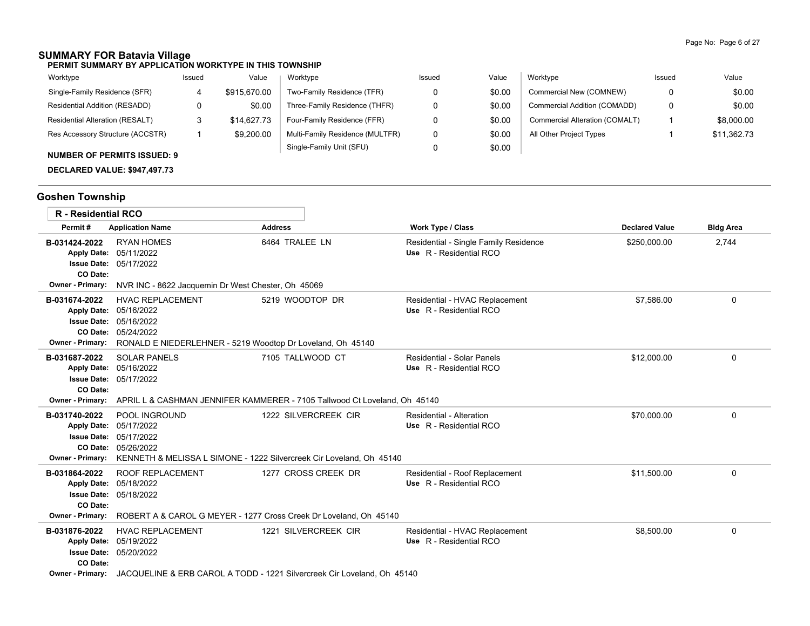# **SUMMARY FOR Batavia Village**

**PERMIT SUMMARY BY APPLICATION WORKTYPE IN THIS TOWNSHIP**

| Worktype                                                                                                                                                                                                                                                                                                                                                                                                               | Issued | Value        | Worktype                        | Issued | Value  | Worktype                       | Issued | Value       |
|------------------------------------------------------------------------------------------------------------------------------------------------------------------------------------------------------------------------------------------------------------------------------------------------------------------------------------------------------------------------------------------------------------------------|--------|--------------|---------------------------------|--------|--------|--------------------------------|--------|-------------|
| Single-Family Residence (SFR)                                                                                                                                                                                                                                                                                                                                                                                          |        | \$915.670.00 | Two-Family Residence (TFR)      |        | \$0.00 | Commercial New (COMNEW)        |        | \$0.00      |
| Residential Addition (RESADD)                                                                                                                                                                                                                                                                                                                                                                                          |        | \$0.00       | Three-Family Residence (THFR)   |        | \$0.00 | Commercial Addition (COMADD)   | 0      | \$0.00      |
| Residential Alteration (RESALT)                                                                                                                                                                                                                                                                                                                                                                                        |        | \$14,627.73  | Four-Family Residence (FFR)     |        | \$0.00 | Commercial Alteration (COMALT) |        | \$8,000.00  |
| Res Accessory Structure (ACCSTR)                                                                                                                                                                                                                                                                                                                                                                                       |        | \$9,200.00   | Multi-Family Residence (MULTFR) |        | \$0.00 | All Other Project Types        |        | \$11,362.73 |
| $\mathbf{A} \mathbf{B} \mathbf{A} \mathbf{B} \mathbf{A} \mathbf{B} \mathbf{A} \mathbf{B} \mathbf{A} \mathbf{A} \mathbf{A} \mathbf{A} \mathbf{A} \mathbf{A} \mathbf{A} \mathbf{A} \mathbf{A} \mathbf{A} \mathbf{A} \mathbf{A} \mathbf{A} \mathbf{A} \mathbf{A} \mathbf{A} \mathbf{A} \mathbf{A} \mathbf{A} \mathbf{A} \mathbf{A} \mathbf{A} \mathbf{A} \mathbf{A} \mathbf{A} \mathbf{A} \mathbf{A} \mathbf{A} \mathbf{$ |        |              | Single-Family Unit (SFU)        |        | \$0.00 |                                |        |             |

### **NUMBER OF PERMITS ISSUED: 9**

**DECLARED VALUE: \$947,497.73**

# **Goshen Township**

| R - Residential RCO                                  |                                                                                                                                                                                          |                                                                                                 |                                                                  |                       |                  |
|------------------------------------------------------|------------------------------------------------------------------------------------------------------------------------------------------------------------------------------------------|-------------------------------------------------------------------------------------------------|------------------------------------------------------------------|-----------------------|------------------|
| Permit#                                              | <b>Application Name</b>                                                                                                                                                                  | <b>Address</b>                                                                                  | <b>Work Type / Class</b>                                         | <b>Declared Value</b> | <b>Bldg Area</b> |
| B-031424-2022<br>CO Date:<br><b>Owner - Primary:</b> | <b>RYAN HOMES</b><br>Apply Date: 05/11/2022<br>Issue Date: 05/17/2022<br>NVR INC - 8622 Jacquemin Dr West Chester, Oh 45069                                                              | 6464 TRALEE LN                                                                                  | Residential - Single Family Residence<br>Use R - Residential RCO | \$250,000.00          | 2,744            |
| B-031674-2022                                        | <b>HVAC REPLACEMENT</b><br>Apply Date: 05/16/2022<br><b>Issue Date: 05/16/2022</b><br>CO Date: 05/24/2022<br>Owner - Primary: RONALD E NIEDERLEHNER - 5219 Woodtop Dr Loveland, Oh 45140 | 5219 WOODTOP DR                                                                                 | Residential - HVAC Replacement<br>Use R - Residential RCO        | \$7,586.00            | 0                |
| B-031687-2022<br>CO Date:                            | <b>SOLAR PANELS</b><br>Apply Date: 05/16/2022<br><b>Issue Date: 05/17/2022</b><br>Owner - Primary: APRIL L & CASHMAN JENNIFER KAMMERER - 7105 Tallwood Ct Loveland, Oh 45140             | 7105 TALLWOOD CT                                                                                | <b>Residential - Solar Panels</b><br>Use R - Residential RCO     | \$12,000.00           | 0                |
| B-031740-2022<br>Owner - Primary:                    | POOL INGROUND<br>Apply Date: 05/17/2022<br><b>Issue Date: 05/17/2022</b><br>CO Date: 05/26/2022<br>KENNETH & MELISSA L SIMONE - 1222 Silvercreek Cir Loveland, Oh 45140                  | 1222 SILVERCREEK CIR                                                                            | <b>Residential - Alteration</b><br>Use R - Residential RCO       | \$70,000.00           | 0                |
| B-031864-2022<br>CO Date:<br><b>Owner - Primary:</b> | <b>ROOF REPLACEMENT</b><br>Apply Date: 05/18/2022<br><b>Issue Date: 05/18/2022</b><br>ROBERT A & CAROL G MEYER - 1277 Cross Creek Dr Loveland, Oh 45140                                  | 1277 CROSS CREEK DR                                                                             | Residential - Roof Replacement<br>Use R - Residential RCO        | \$11.500.00           | 0                |
| B-031876-2022<br>CO Date:<br><b>Owner - Primary:</b> | <b>HVAC REPLACEMENT</b><br>Apply Date: 05/19/2022<br><b>Issue Date: 05/20/2022</b>                                                                                                       | 1221 SILVERCREEK CIR<br>JACQUELINE & ERB CAROL A TODD - 1221 Silvercreek Cir Loveland, Oh 45140 | Residential - HVAC Replacement<br>Use R - Residential RCO        | \$8,500.00            | 0                |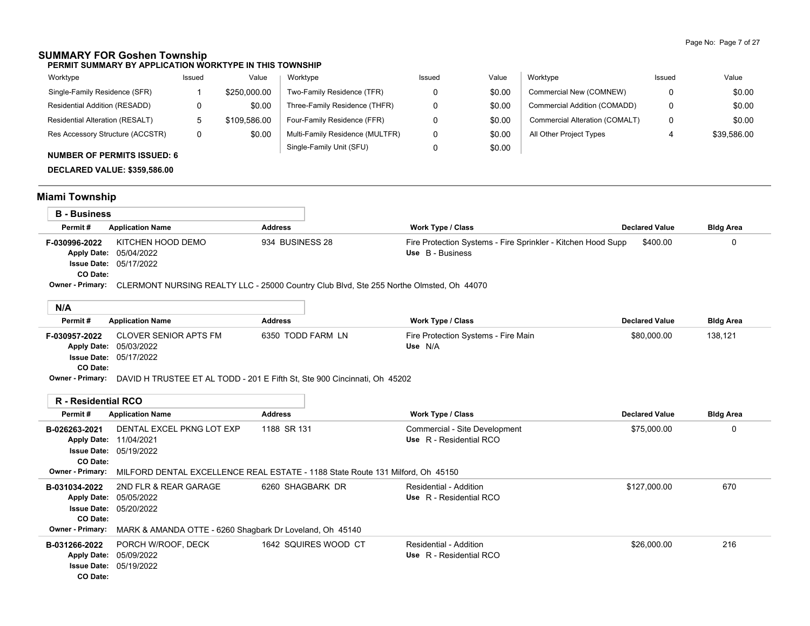## **SUMMARY FOR Goshen Township**

**PERMIT SUMMARY BY APPLICATION WORKTYPE IN THIS TOWNSHIP**

| Worktype                           | Issued | Value        | Worktype                        | Issued | Value  | Worktype                       | Issued | Value       |
|------------------------------------|--------|--------------|---------------------------------|--------|--------|--------------------------------|--------|-------------|
| Single-Family Residence (SFR)      |        | \$250.000.00 | Two-Family Residence (TFR)      |        | \$0.00 | Commercial New (COMNEW)        |        | \$0.00      |
| Residential Addition (RESADD)      |        | \$0.00       | Three-Family Residence (THFR)   |        | \$0.00 | Commercial Addition (COMADD)   |        | \$0.00      |
| Residential Alteration (RESALT)    |        | \$109.586.00 | Four-Family Residence (FFR)     |        | \$0.00 | Commercial Alteration (COMALT) |        | \$0.00      |
| Res Accessory Structure (ACCSTR)   |        | \$0.00       | Multi-Family Residence (MULTFR) |        | \$0.00 | All Other Project Types        |        | \$39,586.00 |
| <b>NUMBER OF PERMITS ISSUED: 6</b> |        |              | Single-Family Unit (SFU)        |        | \$0.00 |                                |        |             |

**DECLARED VALUE: \$359,586.00**

# **Miami Township**

| <b>B</b> - Business        |                                                                                                                                                                                       |                   |                                                                                  |                       |                  |
|----------------------------|---------------------------------------------------------------------------------------------------------------------------------------------------------------------------------------|-------------------|----------------------------------------------------------------------------------|-----------------------|------------------|
| Permit#                    | <b>Application Name</b>                                                                                                                                                               | <b>Address</b>    | <b>Work Type / Class</b>                                                         | <b>Declared Value</b> | <b>Bldg Area</b> |
| F-030996-2022<br>CO Date:  | KITCHEN HOOD DEMO<br>Apply Date: 05/04/2022<br><b>Issue Date: 05/17/2022</b>                                                                                                          | 934 BUSINESS 28   | Fire Protection Systems - Fire Sprinkler - Kitchen Hood Supp<br>Use B - Business | \$400.00              | 0                |
|                            | Owner - Primary: CLERMONT NURSING REALTY LLC - 25000 Country Club Blvd, Ste 255 Northe Olmsted, Oh 44070                                                                              |                   |                                                                                  |                       |                  |
| N/A                        |                                                                                                                                                                                       |                   |                                                                                  |                       |                  |
| Permit#                    | <b>Application Name</b>                                                                                                                                                               | <b>Address</b>    | <b>Work Type / Class</b>                                                         | <b>Declared Value</b> | <b>Bldg Area</b> |
| F-030957-2022<br>CO Date:  | <b>CLOVER SENIOR APTS FM</b><br>Apply Date: 05/03/2022<br><b>Issue Date: 05/17/2022</b><br>Owner - Primary: DAVID H TRUSTEE ET AL TODD - 201 E Fifth St, Ste 900 Cincinnati, Oh 45202 | 6350 TODD FARM LN | Fire Protection Systems - Fire Main<br>Use N/A                                   | \$80,000.00           | 138,121          |
|                            |                                                                                                                                                                                       |                   |                                                                                  |                       |                  |
| <b>R</b> - Residential RCO |                                                                                                                                                                                       |                   |                                                                                  |                       |                  |
| Permit#                    | <b>Application Name</b>                                                                                                                                                               | <b>Address</b>    | <b>Work Type / Class</b>                                                         | <b>Declared Value</b> | <b>Bldg Area</b> |
| B-026263-2021<br>CO Date:  | DENTAL EXCEL PKNG LOT EXP<br>Apply Date: 11/04/2021<br><b>Issue Date: 05/19/2022</b>                                                                                                  | 1188 SR 131       | Commercial - Site Development<br>Use R - Residential RCO                         | \$75,000.00           | 0                |
| <b>Owner - Primary:</b>    | MILFORD DENTAL EXCELLENCE REAL ESTATE - 1188 State Route 131 Milford, Oh 45150                                                                                                        |                   |                                                                                  |                       |                  |
| B-031034-2022<br>CO Date:  | 2ND FLR & REAR GARAGE<br>Apply Date: 05/05/2022<br>Issue Date: 05/20/2022                                                                                                             | 6260 SHAGBARK DR  | Residential - Addition<br>Use R - Residential RCO                                | \$127,000.00          | 670              |
| <b>Owner - Primary:</b>    | MARK & AMANDA OTTE - 6260 Shagbark Dr Loveland, Oh 45140                                                                                                                              |                   |                                                                                  |                       |                  |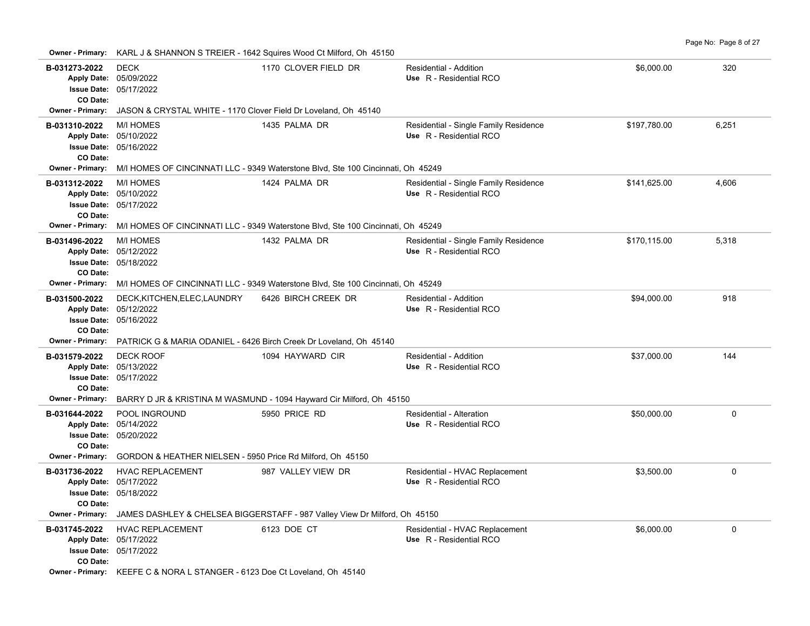| Owner - Primary:                                                        |                                                                 | KARL J & SHANNON S TREIER - 1642 Squires Wood Ct Milford, Oh 45150                                                 |                                                                  |              |             |
|-------------------------------------------------------------------------|-----------------------------------------------------------------|--------------------------------------------------------------------------------------------------------------------|------------------------------------------------------------------|--------------|-------------|
| B-031273-2022<br>Apply Date: 05/09/2022<br>CO Date:                     | <b>DECK</b><br><b>Issue Date: 05/17/2022</b>                    | 1170 CLOVER FIELD DR                                                                                               | Residential - Addition<br>Use R - Residential RCO                | \$6,000.00   | 320         |
| <b>Owner - Primary:</b>                                                 | JASON & CRYSTAL WHITE - 1170 Clover Field Dr Loveland, Oh 45140 |                                                                                                                    |                                                                  |              |             |
| B-031310-2022<br>Apply Date: 05/10/2022<br>CO Date:                     | <b>M/I HOMES</b><br><b>Issue Date: 05/16/2022</b>               | 1435 PALMA DR                                                                                                      | Residential - Single Family Residence<br>Use R - Residential RCO | \$197,780.00 | 6,251       |
| Owner - Primary:                                                        |                                                                 | M/I HOMES OF CINCINNATI LLC - 9349 Waterstone Blvd, Ste 100 Cincinnati, Oh 45249                                   |                                                                  |              |             |
| B-031312-2022<br>Apply Date: 05/10/2022<br>CO Date:                     | <b>M/I HOMES</b><br><b>Issue Date: 05/17/2022</b>               | 1424 PALMA DR<br>Owner - Primary: M/I HOMES OF CINCINNATI LLC - 9349 Waterstone Blvd, Ste 100 Cincinnati, Oh 45249 | Residential - Single Family Residence<br>Use R - Residential RCO | \$141,625.00 | 4,606       |
|                                                                         | <b>M/I HOMES</b>                                                | 1432 PALMA DR                                                                                                      |                                                                  |              | 5,318       |
| B-031496-2022<br>Apply Date: 05/12/2022<br>CO Date:                     | Issue Date: 05/18/2022                                          |                                                                                                                    | Residential - Single Family Residence<br>Use R - Residential RCO | \$170,115.00 |             |
| <b>Owner - Primary:</b>                                                 |                                                                 | M/I HOMES OF CINCINNATI LLC - 9349 Waterstone Blvd, Ste 100 Cincinnati, Oh 45249                                   |                                                                  |              |             |
| B-031500-2022<br>Apply Date: 05/12/2022<br>CO Date:                     | DECK, KITCHEN, ELEC, LAUNDRY<br><b>Issue Date: 05/16/2022</b>   | 6426 BIRCH CREEK DR                                                                                                | Residential - Addition<br>Use R - Residential RCO                | \$94,000.00  | 918         |
| <b>Owner - Primary:</b>                                                 |                                                                 | PATRICK G & MARIA ODANIEL - 6426 Birch Creek Dr Loveland, Oh 45140                                                 |                                                                  |              |             |
| B-031579-2022<br>Apply Date: 05/13/2022<br>CO Date:<br>Owner - Primary: | <b>DECK ROOF</b><br><b>Issue Date: 05/17/2022</b>               | 1094 HAYWARD CIR<br>BARRY D JR & KRISTINA M WASMUND - 1094 Hayward Cir Milford, Oh 45150                           | Residential - Addition<br>Use R - Residential RCO                | \$37,000.00  | 144         |
| B-031644-2022<br>Apply Date: 05/14/2022<br>CO Date:                     | POOL INGROUND<br><b>Issue Date: 05/20/2022</b>                  | 5950 PRICE RD                                                                                                      | Residential - Alteration<br>Use R - Residential RCO              | \$50,000.00  | $\Omega$    |
| <b>Owner - Primary:</b>                                                 | GORDON & HEATHER NIELSEN - 5950 Price Rd Milford, Oh 45150      |                                                                                                                    |                                                                  |              |             |
| B-031736-2022<br>Apply Date: 05/17/2022<br>CO Date:                     | <b>HVAC REPLACEMENT</b><br>Issue Date: 05/18/2022               | 987 VALLEY VIEW DR                                                                                                 | Residential - HVAC Replacement<br>Use R - Residential RCO        | \$3,500.00   | 0           |
|                                                                         |                                                                 | Owner - Primary: JAMES DASHLEY & CHELSEA BIGGERSTAFF - 987 Valley View Dr Milford, Oh 45150                        |                                                                  |              |             |
| B-031745-2022<br>Apply Date: 05/17/2022<br>CO Date:                     | <b>HVAC REPLACEMENT</b><br><b>Issue Date: 05/17/2022</b>        | 6123 DOE CT                                                                                                        | Residential - HVAC Replacement<br>Use R - Residential RCO        | \$6,000.00   | $\mathbf 0$ |

**Owner - Primary:** KEEFE C & NORA L STANGER - 6123 Doe Ct Loveland, Oh 45140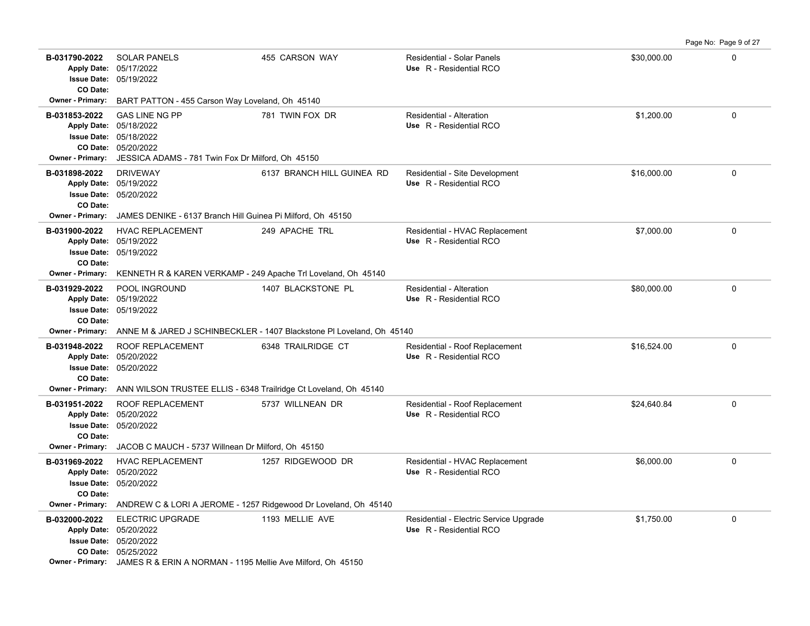|                                                                                                                 |                                                                                                                                                                                    |                                                                       |                                                                   |             | Page No: Page 9 of 27 |
|-----------------------------------------------------------------------------------------------------------------|------------------------------------------------------------------------------------------------------------------------------------------------------------------------------------|-----------------------------------------------------------------------|-------------------------------------------------------------------|-------------|-----------------------|
| B-031790-2022<br>Apply Date: 05/17/2022<br>Issue Date: 05/19/2022<br>CO Date:                                   | <b>SOLAR PANELS</b>                                                                                                                                                                | 455 CARSON WAY                                                        | Residential - Solar Panels<br>Use R - Residential RCO             | \$30,000.00 | $\mathbf 0$           |
| <b>Owner - Primary:</b>                                                                                         | BART PATTON - 455 Carson Way Loveland, Oh 45140                                                                                                                                    |                                                                       |                                                                   |             |                       |
| B-031853-2022<br>Apply Date: 05/18/2022<br><b>Owner - Primary:</b>                                              | <b>GAS LINE NG PP</b><br>Issue Date: 05/18/2022<br>CO Date: 05/20/2022<br>JESSICA ADAMS - 781 Twin Fox Dr Milford, Oh 45150                                                        | 781 TWIN FOX DR                                                       | Residential - Alteration<br>Use R - Residential RCO               | \$1,200.00  | 0                     |
| B-031898-2022<br>Apply Date: 05/19/2022<br>CO Date:<br><b>Owner - Primary:</b>                                  | <b>DRIVEWAY</b><br>Issue Date: 05/20/2022<br>JAMES DENIKE - 6137 Branch Hill Guinea Pi Milford, Oh 45150                                                                           | 6137 BRANCH HILL GUINEA RD                                            | Residential - Site Development<br>Use R - Residential RCO         | \$16,000.00 | 0                     |
| B-031900-2022<br>Apply Date: 05/19/2022<br>Issue Date: 05/19/2022<br>CO Date:<br><b>Owner - Primary:</b>        | <b>HVAC REPLACEMENT</b><br>KENNETH R & KAREN VERKAMP - 249 Apache Tri Loveland, Oh 45140                                                                                           | 249 APACHE TRL                                                        | Residential - HVAC Replacement<br>Use R - Residential RCO         | \$7,000.00  | 0                     |
| B-031929-2022<br>Apply Date: 05/19/2022<br>CO Date:                                                             | POOL INGROUND<br><b>Issue Date: 05/19/2022</b>                                                                                                                                     | 1407 BLACKSTONE PL                                                    | Residential - Alteration<br>Use R - Residential RCO               | \$80,000.00 | $\Omega$              |
| <b>Owner - Primary:</b>                                                                                         |                                                                                                                                                                                    | ANNE M & JARED J SCHINBECKLER - 1407 Blackstone PI Loveland, Oh 45140 |                                                                   |             |                       |
| B-031948-2022<br>Apply Date: 05/20/2022<br><b>Issue Date: 05/20/2022</b><br>CO Date:<br><b>Owner - Primary:</b> | ROOF REPLACEMENT                                                                                                                                                                   | 6348 TRAILRIDGE CT                                                    | Residential - Roof Replacement<br>Use R - Residential RCO         | \$16,524.00 | 0                     |
| B-031951-2022<br>Apply Date: 05/20/2022<br>CO Date:<br>Owner - Primary:                                         | ANN WILSON TRUSTEE ELLIS - 6348 Trailridge Ct Loveland, Oh 45140<br><b>ROOF REPLACEMENT</b><br><b>Issue Date: 05/20/2022</b><br>JACOB C MAUCH - 5737 Willnean Dr Milford, Oh 45150 | 5737 WILLNEAN DR                                                      | Residential - Roof Replacement<br>Use R - Residential RCO         | \$24,640.84 | 0                     |
| B-031969-2022<br>Apply Date: 05/20/2022<br>CO Date:<br><b>Owner - Primary:</b>                                  | HVAC REPLACEMENT<br><b>Issue Date: 05/20/2022</b><br>ANDREW C & LORI A JEROME - 1257 Ridgewood Dr Loveland, Oh 45140                                                               | 1257 RIDGEWOOD DR                                                     | Residential - HVAC Replacement<br>Use R - Residential RCO         | \$6,000.00  | 0                     |
| B-032000-2022<br>Apply Date: 05/20/2022                                                                         | <b>ELECTRIC UPGRADE</b><br>Issue Date: 05/20/2022<br>CO Date: 05/25/2022<br><b>Owner - Primary:</b> JAMES R & ERIN A NORMAN - 1195 Mellie Ave Milford, Oh 45150                    | 1193 MELLIE AVE                                                       | Residential - Electric Service Upgrade<br>Use R - Residential RCO | \$1,750.00  | 0                     |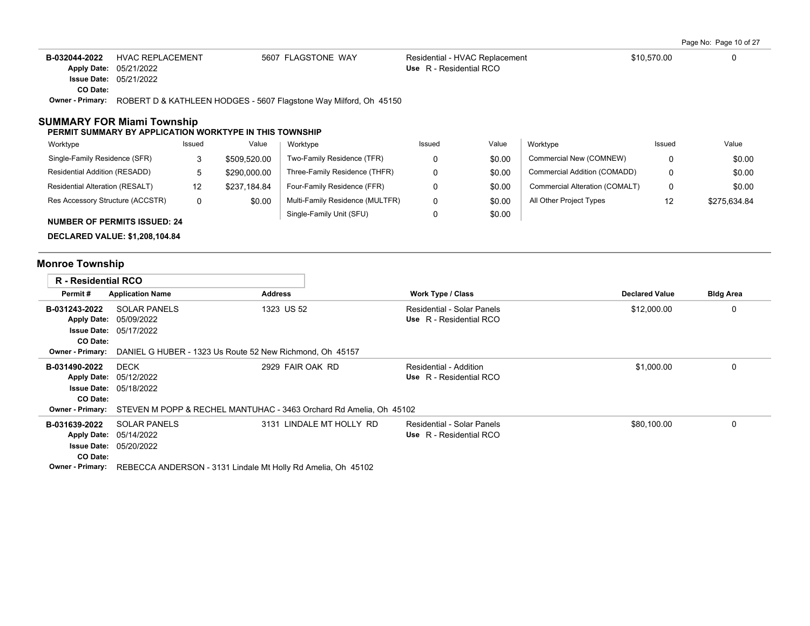| B-032044-2022           | HVAC REPLACEMENT                                                                      | 5607 FLAGSTONE WAY                                                | Residential - HVAC Replacement |       |          | \$10.570.00 | 0     |
|-------------------------|---------------------------------------------------------------------------------------|-------------------------------------------------------------------|--------------------------------|-------|----------|-------------|-------|
| <b>Apply Date:</b>      | 05/21/2022                                                                            |                                                                   | Use R - Residential RCO        |       |          |             |       |
|                         | <b>Issue Date: 05/21/2022</b>                                                         |                                                                   |                                |       |          |             |       |
| CO Date:                |                                                                                       |                                                                   |                                |       |          |             |       |
| <b>Owner - Primary:</b> |                                                                                       | ROBERT D & KATHLEEN HODGES - 5607 Flagstone Way Milford, Oh 45150 |                                |       |          |             |       |
|                         | SUMMARY FOR Miami Township<br>PERMIT SUMMARY BY APPLICATION WORKTYPE IN THIS TOWNSHIP |                                                                   |                                |       |          |             |       |
| Worktype                | Issued                                                                                | Worktype<br>Value                                                 | Issued                         | Value | Worktype | Issued      | Value |

| <b>VVUINLYDU</b>                    | 1334 <del>0</del> 4 | value        | <b>VVUINLYPU</b>                | 199464 | value  | <b>VVUINLYPU</b>               | 1334 <del>0</del> 4 | value        |
|-------------------------------------|---------------------|--------------|---------------------------------|--------|--------|--------------------------------|---------------------|--------------|
| Single-Family Residence (SFR)       |                     | \$509,520.00 | Two-Family Residence (TFR)      |        | \$0.00 | Commercial New (COMNEW)        |                     | \$0.00       |
| Residential Addition (RESADD)       |                     | \$290,000.00 | Three-Family Residence (THFR)   |        | \$0.00 | Commercial Addition (COMADD)   |                     | \$0.00       |
| Residential Alteration (RESALT)     | 12                  | \$237.184.84 | Four-Family Residence (FFR)     |        | \$0.00 | Commercial Alteration (COMALT) |                     | \$0.00       |
| Res Accessory Structure (ACCSTR)    | 0                   | \$0.00       | Multi-Family Residence (MULTFR) |        | \$0.00 | All Other Project Types        |                     | \$275.634.84 |
|                                     |                     |              | Single-Family Unit (SFU)        |        | \$0.00 |                                |                     |              |
| <b>NUMBER OF PERMITS ISSUED: 24</b> |                     |              |                                 |        |        |                                |                     |              |

**DECLARED VALUE: \$1,208,104.84**

# **Monroe Township**

| <b>R</b> - Residential RCO |                                                          |                                                                                            |                                   |                       |                  |
|----------------------------|----------------------------------------------------------|--------------------------------------------------------------------------------------------|-----------------------------------|-----------------------|------------------|
| Permit#                    | <b>Application Name</b>                                  | Address                                                                                    | <b>Work Type / Class</b>          | <b>Declared Value</b> | <b>Bldg Area</b> |
| B-031243-2022              | <b>SOLAR PANELS</b>                                      | 1323 US 52                                                                                 | Residential - Solar Panels        | \$12,000.00           | 0                |
|                            | Apply Date: 05/09/2022                                   |                                                                                            | Use R - Residential RCO           |                       |                  |
|                            | <b>Issue Date: 05/17/2022</b>                            |                                                                                            |                                   |                       |                  |
| CO Date:                   |                                                          |                                                                                            |                                   |                       |                  |
| <b>Owner - Primary:</b>    | DANIEL G HUBER - 1323 Us Route 52 New Richmond, Oh 45157 |                                                                                            |                                   |                       |                  |
| B-031490-2022              | <b>DECK</b>                                              | 2929 FAIR OAK RD                                                                           | Residential - Addition            | \$1,000.00            | 0                |
|                            | Apply Date: 05/12/2022                                   |                                                                                            | Use R - Residential RCO           |                       |                  |
|                            | <b>Issue Date: 05/18/2022</b>                            |                                                                                            |                                   |                       |                  |
| CO Date:                   |                                                          |                                                                                            |                                   |                       |                  |
|                            |                                                          | <b>Owner - Primary:</b> STEVEN M POPP & RECHEL MANTUHAC - 3463 Orchard Rd Amelia, Oh 45102 |                                   |                       |                  |
| B-031639-2022              | <b>SOLAR PANELS</b>                                      | 3131 LINDALE MT HOLLY RD                                                                   | <b>Residential - Solar Panels</b> | \$80,100.00           | $\Omega$         |
|                            | Apply Date: 05/14/2022                                   |                                                                                            | Use R - Residential RCO           |                       |                  |
|                            | <b>Issue Date: 05/20/2022</b>                            |                                                                                            |                                   |                       |                  |
| CO Date:                   |                                                          |                                                                                            |                                   |                       |                  |
| <b>Owner - Primary:</b>    |                                                          | REBECCA ANDERSON - 3131 Lindale Mt Holly Rd Amelia, Oh 45102                               |                                   |                       |                  |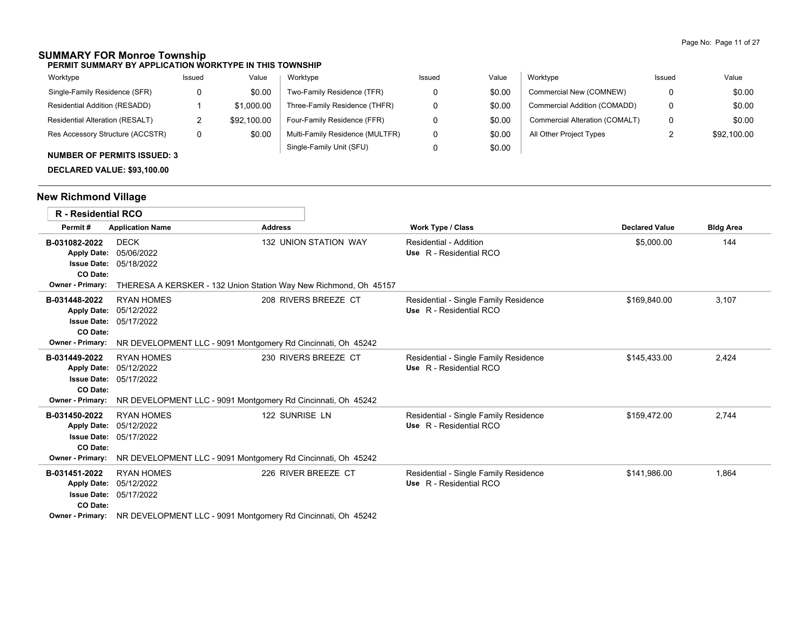## **SUMMARY FOR Monroe Township**

**PERMIT SUMMARY BY APPLICATION WORKTYPE IN THIS TOWNSHIP**

| Worktype                                                                                                                                                                                                                                                                                                                                                                                                               | Issued | Value       | Worktype                        | Issued | Value  | Worktype                       | Issued | Value       |
|------------------------------------------------------------------------------------------------------------------------------------------------------------------------------------------------------------------------------------------------------------------------------------------------------------------------------------------------------------------------------------------------------------------------|--------|-------------|---------------------------------|--------|--------|--------------------------------|--------|-------------|
| Single-Family Residence (SFR)                                                                                                                                                                                                                                                                                                                                                                                          |        | \$0.00      | Two-Family Residence (TFR)      |        | \$0.00 | Commercial New (COMNEW)        | 0      | \$0.00      |
| Residential Addition (RESADD)                                                                                                                                                                                                                                                                                                                                                                                          |        | \$1,000.00  | Three-Family Residence (THFR)   |        | \$0.00 | Commercial Addition (COMADD)   | 0      | \$0.00      |
| Residential Alteration (RESALT)                                                                                                                                                                                                                                                                                                                                                                                        |        | \$92,100.00 | Four-Family Residence (FFR)     |        | \$0.00 | Commercial Alteration (COMALT) | 0      | \$0.00      |
| Res Accessory Structure (ACCSTR)                                                                                                                                                                                                                                                                                                                                                                                       | 0      | \$0.00      | Multi-Family Residence (MULTFR) |        | \$0.00 | All Other Project Types        |        | \$92,100.00 |
| $\mathbf{A} \mathbf{B} \mathbf{A} \mathbf{B} \mathbf{A} \mathbf{B} \mathbf{A} \mathbf{B} \mathbf{A} \mathbf{A} \mathbf{A} \mathbf{A} \mathbf{A} \mathbf{A} \mathbf{A} \mathbf{A} \mathbf{A} \mathbf{A} \mathbf{A} \mathbf{A} \mathbf{A} \mathbf{A} \mathbf{A} \mathbf{A} \mathbf{A} \mathbf{A} \mathbf{A} \mathbf{A} \mathbf{A} \mathbf{A} \mathbf{A} \mathbf{A} \mathbf{A} \mathbf{A} \mathbf{A} \mathbf{A} \mathbf{$ |        |             | Single-Family Unit (SFU)        |        | \$0.00 |                                |        |             |

## **NUMBER OF PERMITS ISSUED: 3**

**DECLARED VALUE: \$93,100.00**

# **New Richmond Village**

| <b>R</b> - Residential RCO                                                 |                                                                                                                                                   |                              |                                                                  |                       |                  |
|----------------------------------------------------------------------------|---------------------------------------------------------------------------------------------------------------------------------------------------|------------------------------|------------------------------------------------------------------|-----------------------|------------------|
| Permit#                                                                    | <b>Application Name</b>                                                                                                                           | <b>Address</b>               | Work Type / Class                                                | <b>Declared Value</b> | <b>Bldg Area</b> |
| B-031082-2022<br><b>Apply Date:</b><br>CO Date:<br>Owner - Primary:        | <b>DECK</b><br>05/06/2022<br><b>Issue Date: 05/18/2022</b><br>THERESA A KERSKER - 132 Union Station Way New Richmond, Oh 45157                    | <b>132 UNION STATION WAY</b> | Residential - Addition<br>Use R - Residential RCO                | \$5,000.00            | 144              |
| B-031448-2022<br><b>Apply Date:</b><br>CO Date:<br>Owner - Primary:        | <b>RYAN HOMES</b><br>05/12/2022<br><b>Issue Date: 05/17/2022</b><br>NR DEVELOPMENT LLC - 9091 Montgomery Rd Cincinnati, Oh 45242                  | 208 RIVERS BREEZE CT         | Residential - Single Family Residence<br>Use R - Residential RCO | \$169,840.00          | 3,107            |
| B-031449-2022<br><b>Apply Date:</b><br>CO Date:<br><b>Owner - Primary:</b> | <b>RYAN HOMES</b><br>05/12/2022<br><b>Issue Date: 05/17/2022</b><br>NR DEVELOPMENT LLC - 9091 Montgomery Rd Cincinnati, Oh 45242                  | 230 RIVERS BREEZE CT         | Residential - Single Family Residence<br>Use R - Residential RCO | \$145.433.00          | 2,424            |
| B-031450-2022<br><b>Apply Date:</b><br>CO Date:<br><b>Owner - Primary:</b> | <b>RYAN HOMES</b><br>05/12/2022<br><b>Issue Date: 05/17/2022</b><br>NR DEVELOPMENT LLC - 9091 Montgomery Rd Cincinnati, Oh 45242                  | 122 SUNRISE LN               | Residential - Single Family Residence<br>Use R - Residential RCO | \$159,472.00          | 2,744            |
| B-031451-2022<br><b>Apply Date:</b><br>CO Date:                            | <b>RYAN HOMES</b><br>05/12/2022<br><b>Issue Date: 05/17/2022</b><br>Owner - Primary: NR DEVELOPMENT LLC - 9091 Montgomery Rd Cincinnati, Oh 45242 | 226 RIVER BREEZE CT          | Residential - Single Family Residence<br>Use R - Residential RCO | \$141,986.00          | 1,864            |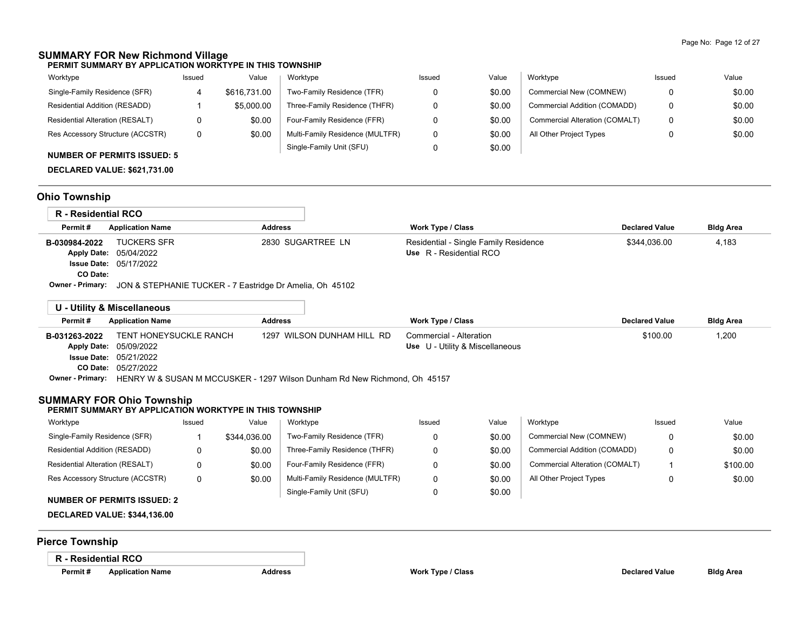# **SUMMARY FOR New Richmond Village**

### **PERMIT SUMMARY BY APPLICATION WORKTYPE IN THIS TOWNSHIP**

| Worktype                         | Issued | Value        | Worktype                        | Issued | Value  | Worktype                       | Issued | Value  |
|----------------------------------|--------|--------------|---------------------------------|--------|--------|--------------------------------|--------|--------|
| Single-Family Residence (SFR)    |        | \$616,731.00 | Two-Family Residence (TFR)      |        | \$0.00 | Commercial New (COMNEW)        |        | \$0.00 |
| Residential Addition (RESADD)    |        | \$5,000.00   | Three-Family Residence (THFR)   |        | \$0.00 | Commercial Addition (COMADD)   | 0      | \$0.00 |
| Residential Alteration (RESALT)  | 0      | \$0.00       | Four-Family Residence (FFR)     |        | \$0.00 | Commercial Alteration (COMALT) | 0      | \$0.00 |
| Res Accessory Structure (ACCSTR) | 0      | \$0.00       | Multi-Family Residence (MULTFR) |        | \$0.00 | All Other Project Types        |        | \$0.00 |
|                                  |        |              | Single-Family Unit (SFU)        |        | \$0.00 |                                |        |        |

### **NUMBER OF PERMITS ISSUED: 5**

**DECLARED VALUE: \$621,731.00**

## **Ohio Township**

| R - Residential RCO                             |                                                                   |                   |                                                                  |                       |                  |
|-------------------------------------------------|-------------------------------------------------------------------|-------------------|------------------------------------------------------------------|-----------------------|------------------|
| Permit#                                         | <b>Application Name</b>                                           | <b>Address</b>    | Work Type / Class                                                | <b>Declared Value</b> | <b>Bldg Area</b> |
| B-030984-2022<br><b>Apply Date:</b><br>CO Date: | <b>TUCKERS SFR</b><br>05/04/2022<br><b>Issue Date: 05/17/2022</b> | 2830 SUGARTREE LN | Residential - Single Family Residence<br>Use R - Residential RCO | \$344.036.00          | 4,183            |
| Owner - Primary:                                | JON & STEPHANIE TUCKER - 7 Eastridge Dr Amelia, Oh 45102          |                   |                                                                  |                       |                  |

|               | U - Utility & Miscellaneous                                                                |                            |                                 |                       |                  |
|---------------|--------------------------------------------------------------------------------------------|----------------------------|---------------------------------|-----------------------|------------------|
| Permit#       | <b>Application Name</b>                                                                    | <b>Address</b>             | <b>Work Type / Class</b>        | <b>Declared Value</b> | <b>Bldg Area</b> |
| B-031263-2022 | TENT HONEYSUCKLE RANCH                                                                     | 1297 WILSON DUNHAM HILL RD | Commercial - Alteration         | \$100.00              | 1,200            |
|               | <b>Apply Date: 05/09/2022</b>                                                              |                            | Use U - Utility & Miscellaneous |                       |                  |
|               | <b>Issue Date: 05/21/2022</b>                                                              |                            |                                 |                       |                  |
|               | <b>CO Date: 05/27/2022</b>                                                                 |                            |                                 |                       |                  |
|               | Owner - Primary: HENRY W & SUSAN M MCCUSKER - 1297 Wilson Dunham Rd New Richmond, Oh 45157 |                            |                                 |                       |                  |

## **SUMMARY FOR Ohio Township**

### **PERMIT SUMMARY BY APPLICATION WORKTYPE IN THIS TOWNSHIP**

| Worktype                         | Issued | Value        | Worktype                        | Issued | Value  | Worktype                       | Issued | Value    |
|----------------------------------|--------|--------------|---------------------------------|--------|--------|--------------------------------|--------|----------|
| Single-Family Residence (SFR)    |        | \$344.036.00 | Two-Family Residence (TFR)      |        | \$0.00 | Commercial New (COMNEW)        |        | \$0.00   |
| Residential Addition (RESADD)    |        | \$0.00       | Three-Family Residence (THFR)   |        | \$0.00 | Commercial Addition (COMADD)   |        | \$0.00   |
| Residential Alteration (RESALT)  |        | \$0.00       | Four-Family Residence (FFR)     |        | \$0.00 | Commercial Alteration (COMALT) |        | \$100.00 |
| Res Accessory Structure (ACCSTR) | 0      | \$0.00       | Multi-Family Residence (MULTFR) |        | \$0.00 | All Other Project Types        |        | \$0.00   |
| NUMBER OF BERMITO ICCUER. A      |        |              | Single-Family Unit (SFU)        |        | \$0.00 |                                |        |          |

## **NUMBER OF PERMITS ISSUED: 2**

## **DECLARED VALUE: \$344,136.00**

## **Pierce Township**

### **R - Residential RCO**

| Permit#<br>Applicatio |
|-----------------------|
|                       |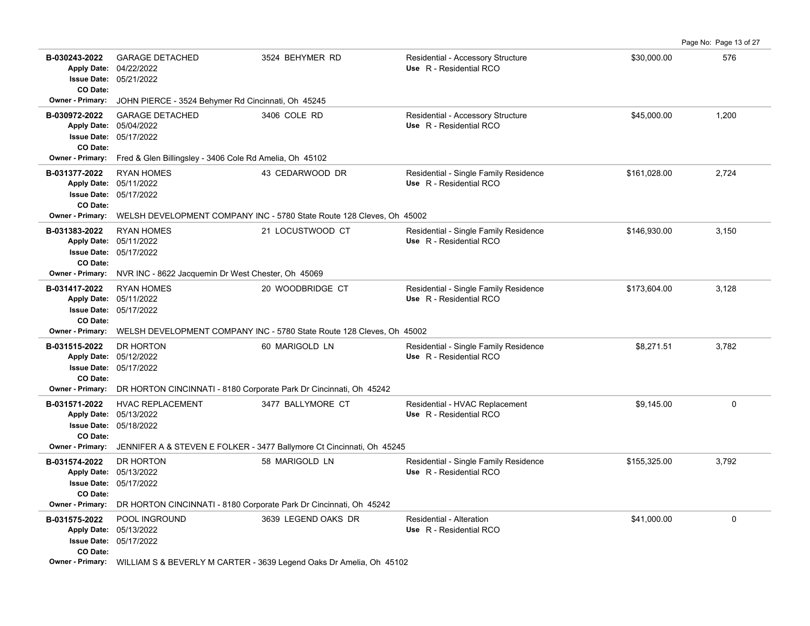|                                                                       |                                                                                                                                            |                                                                                             |                                                                  |              | Page No: Page 13 of 27 |
|-----------------------------------------------------------------------|--------------------------------------------------------------------------------------------------------------------------------------------|---------------------------------------------------------------------------------------------|------------------------------------------------------------------|--------------|------------------------|
| B-030243-2022<br><b>Issue Date:</b><br>CO Date:                       | <b>GARAGE DETACHED</b><br>Apply Date: 04/22/2022<br>05/21/2022                                                                             | 3524 BEHYMER RD                                                                             | Residential - Accessory Structure<br>Use R - Residential RCO     | \$30,000.00  | 576                    |
| Owner - Primary:                                                      | JOHN PIERCE - 3524 Behymer Rd Cincinnati, Oh 45245                                                                                         |                                                                                             |                                                                  |              |                        |
| B-030972-2022<br>CO Date:                                             | <b>GARAGE DETACHED</b><br>Apply Date: 05/04/2022<br>Issue Date: 05/17/2022                                                                 | 3406 COLE RD                                                                                | Residential - Accessory Structure<br>Use R - Residential RCO     | \$45,000.00  | 1,200                  |
| Owner - Primary:                                                      | Fred & Glen Billingsley - 3406 Cole Rd Amelia, Oh 45102                                                                                    |                                                                                             |                                                                  |              |                        |
| B-031377-2022<br><b>Apply Date:</b><br>CO Date:                       | <b>RYAN HOMES</b><br>05/11/2022<br><b>Issue Date: 05/17/2022</b>                                                                           | 43 CEDARWOOD DR                                                                             | Residential - Single Family Residence<br>Use R - Residential RCO | \$161,028.00 | 2,724                  |
| Owner - Primary:                                                      |                                                                                                                                            | WELSH DEVELOPMENT COMPANY INC - 5780 State Route 128 Cleves, Oh 45002                       |                                                                  |              |                        |
| B-031383-2022<br>CO Date:                                             | <b>RYAN HOMES</b><br>Apply Date: 05/11/2022<br><b>Issue Date: 05/17/2022</b>                                                               | 21 LOCUSTWOOD CT                                                                            | Residential - Single Family Residence<br>Use R - Residential RCO | \$146,930.00 | 3,150                  |
| <b>Owner - Primary:</b>                                               | NVR INC - 8622 Jacquemin Dr West Chester, Oh 45069                                                                                         |                                                                                             |                                                                  |              |                        |
| B-031417-2022<br><b>Apply Date:</b><br><b>Issue Date:</b><br>CO Date: | <b>RYAN HOMES</b><br>05/11/2022<br>05/17/2022                                                                                              | 20 WOODBRIDGE CT                                                                            | Residential - Single Family Residence<br>Use R - Residential RCO | \$173,604.00 | 3,128                  |
| <b>Owner - Primary:</b>                                               |                                                                                                                                            | WELSH DEVELOPMENT COMPANY INC - 5780 State Route 128 Cleves, Oh 45002                       |                                                                  |              |                        |
| B-031515-2022<br>CO Date:                                             | DR HORTON<br>Apply Date: 05/12/2022<br><b>Issue Date: 05/17/2022</b>                                                                       | 60 MARIGOLD LN                                                                              | Residential - Single Family Residence<br>Use R - Residential RCO | \$8,271.51   | 3,782                  |
| <b>Owner - Primary:</b>                                               | DR HORTON CINCINNATI - 8180 Corporate Park Dr Cincinnati, Oh 45242                                                                         |                                                                                             |                                                                  |              |                        |
| B-031571-2022<br>CO Date:                                             | <b>HVAC REPLACEMENT</b><br>Apply Date: 05/13/2022<br><b>Issue Date: 05/18/2022</b>                                                         | 3477 BALLYMORE CT                                                                           | Residential - HVAC Replacement<br>Use R - Residential RCO        | \$9,145.00   | $\Omega$               |
| <b>Owner - Primary:</b>                                               |                                                                                                                                            | JENNIFER A & STEVEN E FOLKER - 3477 Ballymore Ct Cincinnati, Oh 45245                       |                                                                  |              |                        |
| B-031574-2022<br>CO Date:<br>Owner - Primary:                         | DR HORTON<br>Apply Date: 05/13/2022<br><b>Issue Date: 05/17/2022</b><br>DR HORTON CINCINNATI - 8180 Corporate Park Dr Cincinnati, Oh 45242 | 58 MARIGOLD LN                                                                              | Residential - Single Family Residence<br>Use R - Residential RCO | \$155,325.00 | 3,792                  |
| B-031575-2022                                                         | POOL INGROUND                                                                                                                              | 3639 LEGEND OAKS DR                                                                         | Residential - Alteration                                         | \$41,000.00  | $\mathbf 0$            |
| CO Date:                                                              | Apply Date: 05/13/2022<br><b>Issue Date: 05/17/2022</b>                                                                                    |                                                                                             | Use R - Residential RCO                                          |              |                        |
|                                                                       |                                                                                                                                            | <b>Owner - Primary:</b> WILLIAM S & BEVERLY M CARTER - 3639 Legend Oaks Dr Amelia, Oh 45102 |                                                                  |              |                        |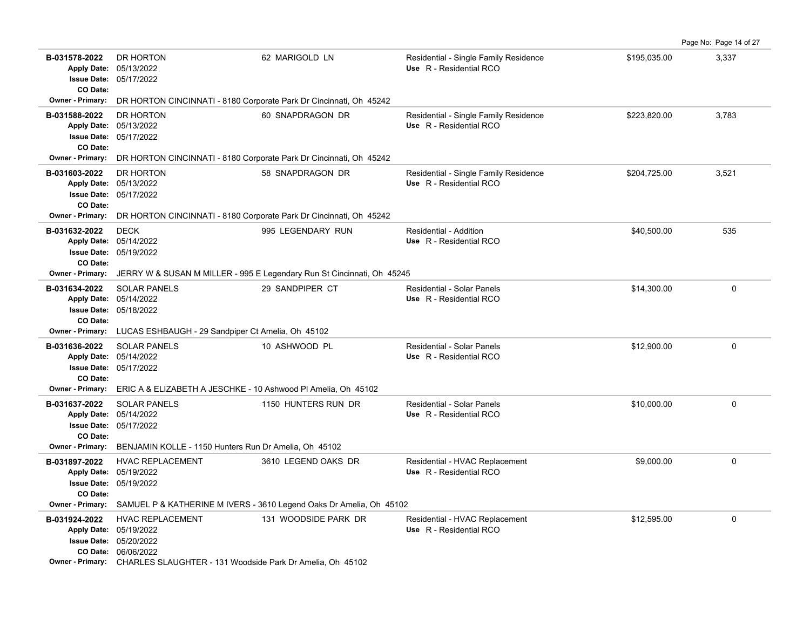|                                                      |                                                                                                                                                                                                 |                                                                        |                                                                  |              | Page No: Page 14 of 27 |
|------------------------------------------------------|-------------------------------------------------------------------------------------------------------------------------------------------------------------------------------------------------|------------------------------------------------------------------------|------------------------------------------------------------------|--------------|------------------------|
| B-031578-2022<br><b>Issue Date:</b><br>CO Date:      | DR HORTON<br>Apply Date: 05/13/2022<br>05/17/2022                                                                                                                                               | 62 MARIGOLD LN                                                         | Residential - Single Family Residence<br>Use R - Residential RCO | \$195,035.00 | 3,337                  |
| Owner - Primary:                                     | DR HORTON CINCINNATI - 8180 Corporate Park Dr Cincinnati, Oh 45242                                                                                                                              |                                                                        |                                                                  |              |                        |
| B-031588-2022<br>CO Date:                            | DR HORTON<br>Apply Date: 05/13/2022<br><b>Issue Date: 05/17/2022</b>                                                                                                                            | 60 SNAPDRAGON DR                                                       | Residential - Single Family Residence<br>Use R - Residential RCO | \$223,820.00 | 3,783                  |
| <b>Owner - Primary:</b>                              | DR HORTON CINCINNATI - 8180 Corporate Park Dr Cincinnati, Oh 45242                                                                                                                              |                                                                        |                                                                  |              |                        |
| B-031603-2022<br>CO Date:<br><b>Owner - Primary:</b> | DR HORTON<br>Apply Date: 05/13/2022<br>Issue Date: 05/17/2022<br>DR HORTON CINCINNATI - 8180 Corporate Park Dr Cincinnati, Oh 45242                                                             | 58 SNAPDRAGON DR                                                       | Residential - Single Family Residence<br>Use R - Residential RCO | \$204,725.00 | 3,521                  |
| B-031632-2022<br><b>Issue Date:</b><br>CO Date:      | <b>DECK</b><br>Apply Date: 05/14/2022<br>05/19/2022                                                                                                                                             | 995 LEGENDARY RUN                                                      | Residential - Addition<br>Use R - Residential RCO                | \$40,500.00  | 535                    |
| Owner - Primary:                                     |                                                                                                                                                                                                 | JERRY W & SUSAN M MILLER - 995 E Legendary Run St Cincinnati, Oh 45245 |                                                                  |              |                        |
| B-031634-2022<br>CO Date:                            | <b>SOLAR PANELS</b><br>Apply Date: 05/14/2022<br>Issue Date: 05/18/2022                                                                                                                         | 29 SANDPIPER CT                                                        | Residential - Solar Panels<br>Use R - Residential RCO            | \$14,300.00  | 0                      |
| <b>Owner - Primary:</b>                              | LUCAS ESHBAUGH - 29 Sandpiper Ct Amelia, Oh 45102                                                                                                                                               |                                                                        |                                                                  |              |                        |
| B-031636-2022<br>CO Date:                            | <b>SOLAR PANELS</b><br>Apply Date: 05/14/2022<br><b>Issue Date: 05/17/2022</b>                                                                                                                  | 10 ASHWOOD PL                                                          | Residential - Solar Panels<br>Use R - Residential RCO            | \$12,900.00  | 0                      |
| <b>Owner - Primary:</b>                              | ERIC A & ELIZABETH A JESCHKE - 10 Ashwood PI Amelia, Oh 45102                                                                                                                                   |                                                                        |                                                                  |              |                        |
| B-031637-2022<br>CO Date:                            | <b>SOLAR PANELS</b><br>Apply Date: 05/14/2022<br>Issue Date: 05/17/2022                                                                                                                         | 1150 HUNTERS RUN DR                                                    | Residential - Solar Panels<br>Use R - Residential RCO            | \$10,000.00  | 0                      |
| <b>Owner - Primary:</b>                              | BENJAMIN KOLLE - 1150 Hunters Run Dr Amelia, Oh 45102                                                                                                                                           |                                                                        |                                                                  |              |                        |
| B-031897-2022<br>CO Date:                            | <b>HVAC REPLACEMENT</b><br>Apply Date: 05/19/2022<br><b>Issue Date: 05/19/2022</b>                                                                                                              | 3610 LEGEND OAKS DR                                                    | Residential - HVAC Replacement<br>Use R - Residential RCO        | \$9,000.00   | 0                      |
| <b>Owner - Primary:</b>                              |                                                                                                                                                                                                 | SAMUEL P & KATHERINE M IVERS - 3610 Legend Oaks Dr Amelia, Oh 45102    |                                                                  |              |                        |
| B-031924-2022                                        | <b>HVAC REPLACEMENT</b><br>Apply Date: 05/19/2022<br><b>Issue Date: 05/20/2022</b><br>CO Date: 06/06/2022<br><b>Owner - Primary:</b> CHARLES SLAUGHTER - 131 Woodside Park Dr Amelia, Oh. 45102 | 131 WOODSIDE PARK DR                                                   | Residential - HVAC Replacement<br>Use R - Residential RCO        | \$12,595.00  | 0                      |
|                                                      |                                                                                                                                                                                                 |                                                                        |                                                                  |              |                        |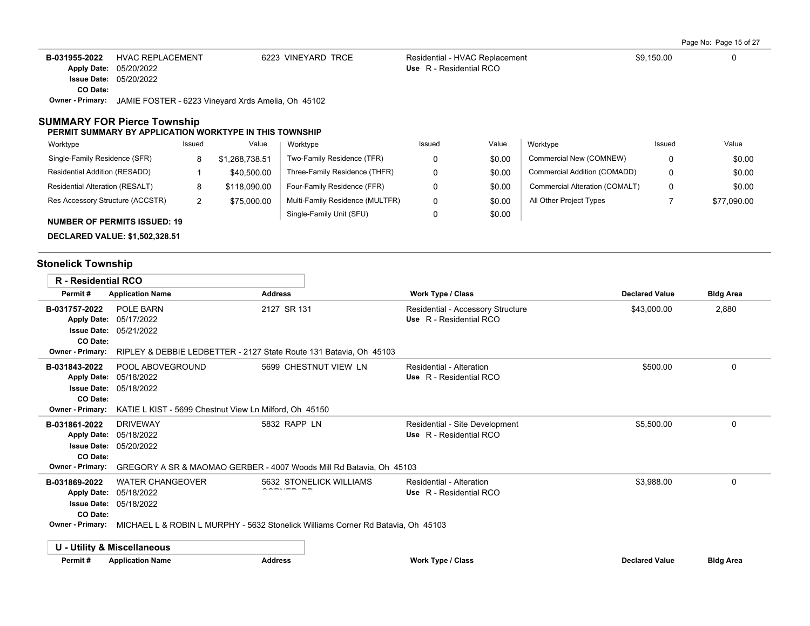Page No: Page 15 of 27

| B-031955-2022 | HVAC REPLACEMENT                                                           | 6223 VINEYARD TRCE | Residential - HVAC Replacement | \$9.150.00 |  |
|---------------|----------------------------------------------------------------------------|--------------------|--------------------------------|------------|--|
|               | Apply Date: 05/20/2022                                                     |                    | Use R - Residential RCO        |            |  |
|               | <b>Issue Date: 05/20/2022</b>                                              |                    |                                |            |  |
| CO Date:      |                                                                            |                    |                                |            |  |
|               | <b>Owner - Primary:</b> JAMIE FOSTER - 6223 Vineyard Xrds Amelia, Oh 45102 |                    |                                |            |  |

### **SUMMARY FOR Pierce Township**

#### **PERMIT SUMMARY BY APPLICATION WORKTYPE IN THIS TOWNSHIP**

| Worktype                            | Issued   | Value        | Worktype                        | Issued | Value  | Worktype                       | Issued | Value       |
|-------------------------------------|----------|--------------|---------------------------------|--------|--------|--------------------------------|--------|-------------|
| Single-Family Residence (SFR)       | 8        | 1.268.738.51 | Two-Family Residence (TFR)      |        | \$0.00 | Commercial New (COMNEW)        |        | \$0.00      |
| Residential Addition (RESADD)       |          | \$40,500.00  | Three-Family Residence (THFR)   | 0      | \$0.00 | Commercial Addition (COMADD)   | 0      | \$0.00      |
| Residential Alteration (RESALT)     |          | \$118,090.00 | Four-Family Residence (FFR)     |        | \$0.00 | Commercial Alteration (COMALT) | 0      | \$0.00      |
| Res Accessory Structure (ACCSTR)    | <u>.</u> | \$75,000.00  | Multi-Family Residence (MULTFR) | 0      | \$0.00 | All Other Project Types        |        | \$77.090.00 |
| <b>NUMBER OF PERMITS ISSUED: 19</b> |          |              | Single-Family Unit (SFU)        |        | \$0.00 |                                |        |             |

**DECLARED VALUE: \$1,502,328.51**

# **Stonelick Township**

| <b>R</b> - Residential RCO                                                   |                                                                 |                                                                                  |                                                              |                       |                  |
|------------------------------------------------------------------------------|-----------------------------------------------------------------|----------------------------------------------------------------------------------|--------------------------------------------------------------|-----------------------|------------------|
| Permit#                                                                      | <b>Application Name</b>                                         | <b>Address</b>                                                                   | <b>Work Type / Class</b>                                     | <b>Declared Value</b> | <b>Bldg Area</b> |
| B-031757-2022<br><b>Apply Date:</b><br><b>Issue Date:</b><br><b>CO Date:</b> | POLE BARN<br>05/17/2022<br>05/21/2022                           | 2127 SR 131                                                                      | Residential - Accessory Structure<br>Use R - Residential RCO | \$43,000.00           | 2,880            |
| <b>Owner - Primary:</b>                                                      |                                                                 | RIPLEY & DEBBIE LEDBETTER - 2127 State Route 131 Batavia, Oh 45103               |                                                              |                       |                  |
| B-031843-2022<br><b>Apply Date:</b><br>CO Date:                              | POOL ABOVEGROUND<br>05/18/2022<br><b>Issue Date: 05/18/2022</b> | 5699 CHESTNUT VIEW LN                                                            | Residential - Alteration<br>Use R - Residential RCO          | \$500.00              | 0                |
| <b>Owner - Primary:</b>                                                      | KATIE L KIST - 5699 Chestnut View Ln Milford, Oh 45150          |                                                                                  |                                                              |                       |                  |
| B-031861-2022<br><b>Apply Date:</b><br><b>Issue Date:</b><br>CO Date:        | <b>DRIVEWAY</b><br>05/18/2022<br>05/20/2022                     | 5832 RAPP LN                                                                     | Residential - Site Development<br>Use R - Residential RCO    | \$5,500.00            | 0                |
| <b>Owner - Primary:</b>                                                      |                                                                 | GREGORY A SR & MAOMAO GERBER - 4007 Woods Mill Rd Batavia, Oh 45103              |                                                              |                       |                  |
| B-031869-2022<br><b>Apply Date:</b><br><b>Issue Date:</b><br>CO Date:        | <b>WATER CHANGEOVER</b><br>05/18/2022<br>05/18/2022             | 5632 STONELICK WILLIAMS                                                          | Residential - Alteration<br>Use R - Residential RCO          | \$3,988.00            | 0                |
| <b>Owner - Primary:</b>                                                      |                                                                 | MICHAEL L & ROBIN L MURPHY - 5632 Stonelick Williams Corner Rd Batavia. Oh 45103 |                                                              |                       |                  |
|                                                                              | U - Utility & Miscellaneous                                     |                                                                                  |                                                              |                       |                  |
| Permit#                                                                      | <b>Application Name</b>                                         | <b>Address</b>                                                                   | <b>Work Type / Class</b>                                     | <b>Declared Value</b> | <b>Bldg Area</b> |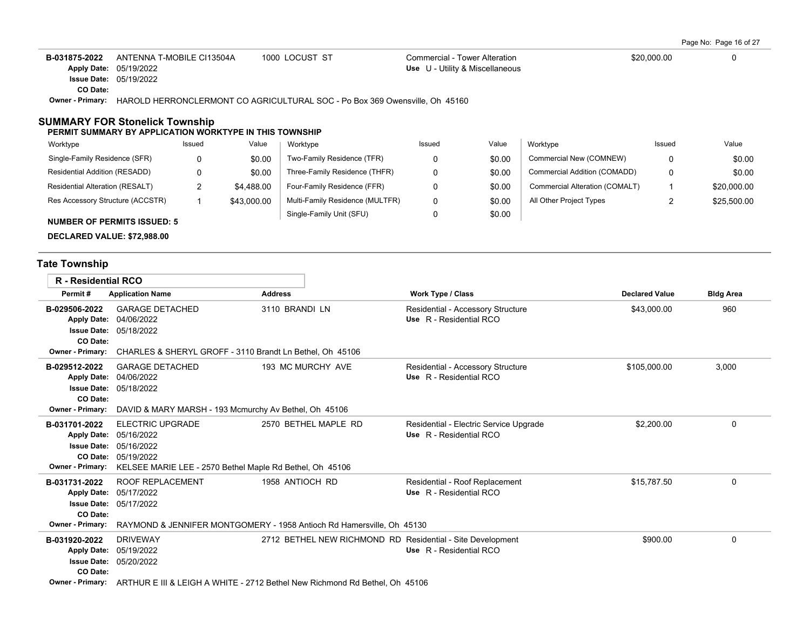| B-031875-2022 | ANTENNA T-MOBILE CI13504A                                                       | 1000 LOCUST ST | Commercial - Tower Alteration   | \$20,000.00 |  |
|---------------|---------------------------------------------------------------------------------|----------------|---------------------------------|-------------|--|
|               | Apply Date: 05/19/2022                                                          |                | Use U - Utility & Miscellaneous |             |  |
|               | <b>Issue Date: 05/19/2022</b>                                                   |                |                                 |             |  |
| CO Date:      |                                                                                 |                |                                 |             |  |
| Owner Drimony | LIADOLD LIEDDONICLEDMONIT CO ACDICULTUDAL COC. De Dev 200 Quenoville, Ob. 45400 |                |                                 |             |  |

**Owner - Primary:** HAROLD HERRONCLERMONT CO AGRICULTURAL SOC - Po Box 369 Owensville, Oh 45160

## **SUMMARY FOR Stonelick Township**

#### **PERMIT SUMMARY BY APPLICATION WORKTYPE IN THIS TOWNSHIP**

| Worktype                           | Issued | Value       | Worktype                        | Issued | Value  | Worktvpe                       | Issued   | Value       |
|------------------------------------|--------|-------------|---------------------------------|--------|--------|--------------------------------|----------|-------------|
| Single-Family Residence (SFR)      |        | \$0.00      | Two-Family Residence (TFR)      |        | \$0.00 | Commercial New (COMNEW)        |          | \$0.00      |
| Residential Addition (RESADD)      |        | \$0.00      | Three-Family Residence (THFR)   |        | \$0.00 | Commercial Addition (COMADD)   |          | \$0.00      |
| Residential Alteration (RESALT)    |        | \$4,488.00  | Four-Family Residence (FFR)     |        | \$0.00 | Commercial Alteration (COMALT) |          | \$20,000.00 |
| Res Accessory Structure (ACCSTR)   |        | \$43,000.00 | Multi-Family Residence (MULTFR) |        | \$0.00 | All Other Project Types        | <u>.</u> | \$25,500.00 |
| <b>NUMBER OF PERMITS ISSUED: 5</b> |        |             | Single-Family Unit (SFU)        |        | \$0.00 |                                |          |             |

**DECLARED VALUE: \$72,988.00**

# **Tate Township**

| <b>R</b> - Residential RCO                                                                       |                                                                                                                                        |                                                                                              |                                                                   |                       |                  |
|--------------------------------------------------------------------------------------------------|----------------------------------------------------------------------------------------------------------------------------------------|----------------------------------------------------------------------------------------------|-------------------------------------------------------------------|-----------------------|------------------|
| Permit#                                                                                          | <b>Application Name</b>                                                                                                                | <b>Address</b>                                                                               | <b>Work Type / Class</b>                                          | <b>Declared Value</b> | <b>Bldg Area</b> |
| B-029506-2022<br><b>Apply Date:</b><br><b>Issue Date:</b><br>CO Date:                            | <b>GARAGE DETACHED</b><br>04/06/2022<br>05/18/2022                                                                                     | 3110 BRANDI LN                                                                               | Residential - Accessory Structure<br>Use R - Residential RCO      | \$43,000.00           | 960              |
| <b>Owner - Primary:</b>                                                                          | CHARLES & SHERYL GROFF - 3110 Brandt Ln Bethel, Oh 45106                                                                               |                                                                                              |                                                                   |                       |                  |
| B-029512-2022<br><b>Apply Date:</b><br><b>Issue Date:</b><br>CO Date:<br><b>Owner - Primary:</b> | <b>GARAGE DETACHED</b><br>04/06/2022<br>05/18/2022                                                                                     | 193 MC MURCHY AVE                                                                            | Residential - Accessory Structure<br>Use R - Residential RCO      | \$105,000.00          | 3,000            |
|                                                                                                  | DAVID & MARY MARSH - 193 Mcmurchy Av Bethel, Oh 45106                                                                                  |                                                                                              |                                                                   |                       |                  |
| B-031701-2022<br><b>Apply Date:</b><br><b>Issue Date:</b><br><b>Owner - Primary:</b>             | <b>ELECTRIC UPGRADE</b><br>05/16/2022<br>05/16/2022<br>CO Date: 05/19/2022<br>KELSEE MARIE LEE - 2570 Bethel Maple Rd Bethel, Oh 45106 | 2570 BETHEL MAPLE RD                                                                         | Residential - Electric Service Upgrade<br>Use R - Residential RCO | \$2,200.00            | 0                |
| B-031731-2022<br><b>Apply Date:</b><br><b>Issue Date:</b><br>CO Date:<br><b>Owner - Primary:</b> | <b>ROOF REPLACEMENT</b><br>05/17/2022<br>05/17/2022                                                                                    | 1958 ANTIOCH RD<br>RAYMOND & JENNIFER MONTGOMERY - 1958 Antioch Rd Hamersville, Oh 45130     | Residential - Roof Replacement<br>Use R - Residential RCO         | \$15,787.50           | 0                |
|                                                                                                  |                                                                                                                                        |                                                                                              |                                                                   |                       |                  |
| B-031920-2022<br><b>Apply Date:</b><br><b>Issue Date:</b><br>CO Date:                            | <b>DRIVEWAY</b><br>05/19/2022<br>05/20/2022                                                                                            | 2712 BETHEL NEW RICHMOND RD Residential - Site Development                                   | Use R - Residential RCO                                           | \$900.00              | 0                |
|                                                                                                  |                                                                                                                                        | Owner - Primary: ARTHUR E III & LEIGH A WHITE - 2712 Bethel New Richmond Rd Bethel, Oh 45106 |                                                                   |                       |                  |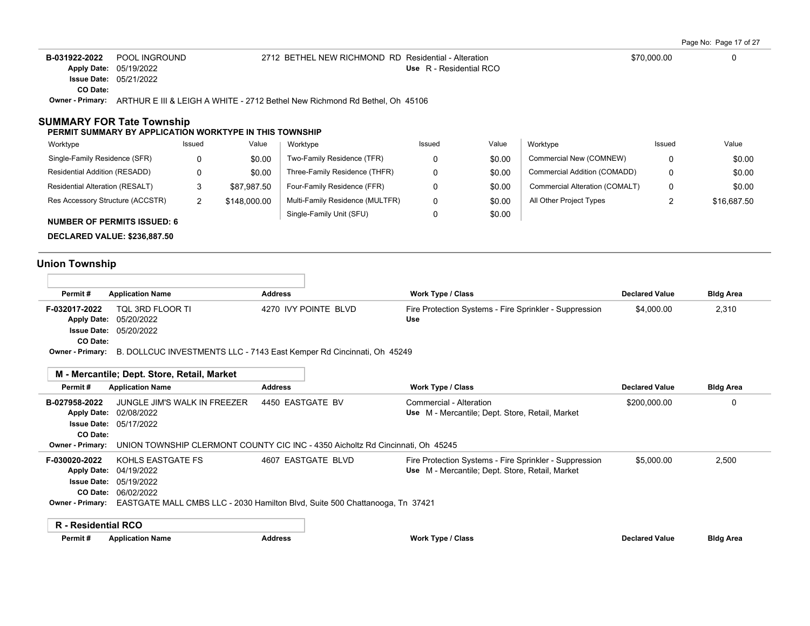|                                       |                                                                   |              |                                                                             |                         |        |                                |             | Page No: Page 17 of 27 |
|---------------------------------------|-------------------------------------------------------------------|--------------|-----------------------------------------------------------------------------|-------------------------|--------|--------------------------------|-------------|------------------------|
| B-031922-2022                         | POOL INGROUND                                                     |              | 2712 BETHEL NEW RICHMOND RD Residential - Alteration                        |                         |        |                                | \$70,000.00 |                        |
| <b>Apply Date:</b>                    | 05/19/2022                                                        |              |                                                                             | Use R - Residential RCO |        |                                |             |                        |
| <b>Issue Date:</b>                    | 05/21/2022                                                        |              |                                                                             |                         |        |                                |             |                        |
| CO Date:                              |                                                                   |              |                                                                             |                         |        |                                |             |                        |
| <b>Owner - Primary:</b>               |                                                                   |              | ARTHUR E III & LEIGH A WHITE - 2712 Bethel New Richmond Rd Bethel. Oh 45106 |                         |        |                                |             |                        |
| SUMMARY FOR Tate Township<br>Worktype | PERMIT SUMMARY BY APPLICATION WORKTYPE IN THIS TOWNSHIP<br>Issued | Value        | Worktype                                                                    | Issued                  | Value  | Worktype                       | Issued      | Value                  |
| Single-Family Residence (SFR)         | 0                                                                 | \$0.00       | Two-Family Residence (TFR)                                                  | 0                       | \$0.00 | Commercial New (COMNEW)        | 0           | \$0.00                 |
| Residential Addition (RESADD)         | 0                                                                 | \$0.00       | Three-Family Residence (THFR)                                               | 0                       | \$0.00 | Commercial Addition (COMADD)   | 0           | \$0.00                 |
| Residential Alteration (RESALT)       | 3                                                                 | \$87.987.50  | Four-Family Residence (FFR)                                                 | 0                       | \$0.00 | Commercial Alteration (COMALT) | 0           | \$0.00                 |
| Res Accessory Structure (ACCSTR)      | 2                                                                 | \$148,000.00 | Multi-Family Residence (MULTFR)                                             | 0                       | \$0.00 | All Other Project Types        |             | \$16,687.50            |

0

\$0.00

Single-Family Unit (SFU)

**NUMBER OF PERMITS ISSUED: 6**

**DECLARED VALUE: \$236,887.50**

# **Union Township**

 $\overline{\Gamma}$ 

| Permit#       | <b>Application Name</b>       | <b>Address</b>                                                                          | <b>Work Type / Class</b>                               | <b>Declared Value</b> | <b>Bldg Area</b> |
|---------------|-------------------------------|-----------------------------------------------------------------------------------------|--------------------------------------------------------|-----------------------|------------------|
| F-032017-2022 | TQL 3RD FLOOR TI              | 4270 IVY POINTE BLVD                                                                    | Fire Protection Systems - Fire Sprinkler - Suppression | \$4,000.00            | 2,310            |
|               | Apply Date: 05/20/2022        |                                                                                         | Use                                                    |                       |                  |
|               | <b>Issue Date: 05/20/2022</b> |                                                                                         |                                                        |                       |                  |
| CO Date:      |                               |                                                                                         |                                                        |                       |                  |
|               |                               | Ournox, Brimany. D. DOU CUC INVIECTMENTS U.C. 7442 Foot Kompos Dd Cincinnoti, Ob. 45240 |                                                        |                       |                  |

**Owner - Primary:** B. DOLLCUC INVESTMENTS LLC - 7143 East Kemper Rd Cincinnati, Oh 45249

| Permit#                 | <b>Application Name</b>                                                                              | <b>Address</b>                                                                 | <b>Work Type / Class</b>                               | <b>Declared Value</b> | <b>Bldg Area</b> |
|-------------------------|------------------------------------------------------------------------------------------------------|--------------------------------------------------------------------------------|--------------------------------------------------------|-----------------------|------------------|
| B-027958-2022           | JUNGLE JIM'S WALK IN FREEZER                                                                         | 4450 EASTGATE BV                                                               | Commercial - Alteration                                | \$200,000.00          | 0                |
|                         | Apply Date: 02/08/2022                                                                               |                                                                                | Use M - Mercantile; Dept. Store, Retail, Market        |                       |                  |
|                         | <b>Issue Date: 05/17/2022</b>                                                                        |                                                                                |                                                        |                       |                  |
| CO Date:                |                                                                                                      |                                                                                |                                                        |                       |                  |
| <b>Owner - Primary:</b> |                                                                                                      | UNION TOWNSHIP CLERMONT COUNTY CIC INC - 4350 Aicholtz Rd Cincinnati, Oh 45245 |                                                        |                       |                  |
| F-030020-2022           | KOHLS EASTGATE FS                                                                                    | 4607 EASTGATE BLVD                                                             | Fire Protection Systems - Fire Sprinkler - Suppression | \$5.000.00            | 2,500            |
|                         | Apply Date: 04/19/2022                                                                               |                                                                                | Use M - Mercantile; Dept. Store, Retail, Market        |                       |                  |
|                         | <b>Issue Date: 05/19/2022</b>                                                                        |                                                                                |                                                        |                       |                  |
|                         | <b>CO Date: 06/02/2022</b>                                                                           |                                                                                |                                                        |                       |                  |
|                         | <b>Owner - Primary:</b> EASTGATE MALL CMBS LLC - 2030 Hamilton Blvd, Suite 500 Chattanooga, Tn 37421 |                                                                                |                                                        |                       |                  |
| R - Residential RCO     |                                                                                                      |                                                                                |                                                        |                       |                  |
| Permit#                 | <b>Application Name</b>                                                                              | <b>Address</b>                                                                 | <b>Work Type / Class</b>                               | <b>Declared Value</b> | <b>Bldg Area</b> |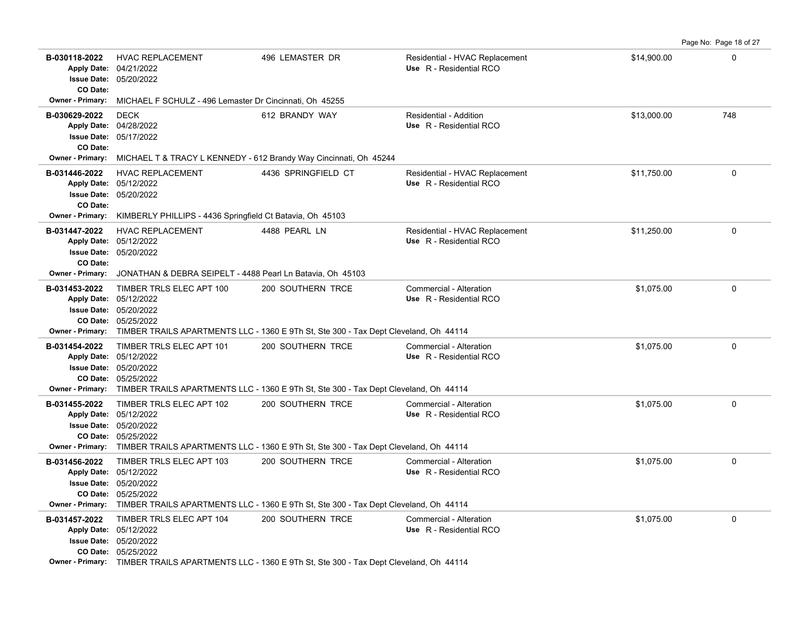**B-030118-2022** HVAC REPLACEMENT 496 LEMASTER DR Residential - HVAC Replacement \$14,900.00 \$14,900.00 05/20/2022 **Issue Date:** Apply Date: 04/21/2022 **Apply Date: Use** R - Residential RCO **CO Date: Owner - Primary:** MICHAEL F SCHULZ - 496 Lemaster Dr Cincinnati, Oh 45255 **B-030629-2022** \$13,000.00 748 05/17/2022 **Issue Date:** 04/28/2022 **Apply Date: Use** R - Residential RCO DECK **612 BRANDY WAY** Residential - Addition **CO Date: Owner - Primary:** MICHAEL T & TRACY L KENNEDY - 612 Brandy Way Cincinnati, Oh 45244 **B-031446-2022** HVAC REPLACEMENT 4436 SPRINGFIELD CT Residential - HVAC Replacement \$11,750.00 \$11,750.00 0 05/20/2022 **Issue Date:** 05/12/2022 **Apply Date: Use** R - Residential RCO **CO Date: Owner - Primary:** KIMBERLY PHILLIPS - 4436 Springfield Ct Batavia, Oh 45103 **B-031447-2022** HVAC REPLACEMENT 4488 PEARL LN Residential - HVAC Replacement \$11,250.00 \$11,250.00 05/20/2022 **Issue Date:** 05/12/2022 **Apply Date: Use** R - Residential RCO **CO Date: Owner - Primary:** JONATHAN & DEBRA SEIPELT - 4488 Pearl Ln Batavia, Oh 45103 **B-031453-2022** TIMBER TRLS ELEC APT 100 200 SOUTHERN TRCE Commercial - Alteration 61 Commercial - Alteration 61,075.00 05/25/2022 **CO Date:** 05/20/2022 **Issue Date:** Apply Date: 05/12/2022 **Apply Date: Use** R - Residential RCO **Owner - Primary:** TIMBER TRAILS APARTMENTS LLC - 1360 E 9Th St, Ste 300 - Tax Dept Cleveland, Oh 44114 **B-031454-2022** \$1,075.00 0 TIMBER TRLS ELEC APT 101 200 SOUTHERN TRCE Commercial - Alteration 05/25/2022 **CO Date:** 05/20/2022 **Issue Date:** Apply Date: 05/12/2022 **Apply Date: Use** R - Residential RCO **Owner - Primary:** TIMBER TRAILS APARTMENTS LLC - 1360 E 9Th St, Ste 300 - Tax Dept Cleveland, Oh 44114 **B-031455-2022** \$1,075.00 0 TIMBER TRLS ELEC APT 102 200 SOUTHERN TRCE Commercial - Alteration 05/25/2022 **CO Date:** 05/20/2022 **Issue Date:** Apply Date: 05/12/2022 **Apply Date: Use** R - Residential RCO **Owner - Primary:** TIMBER TRAILS APARTMENTS LLC - 1360 E 9Th St, Ste 300 - Tax Dept Cleveland, Oh 44114 **B-031456-2022** \$1,075.00 0 TIMBER TRLS ELEC APT 103 200 SOUTHERN TRCE Commercial - Alteration 05/25/2022 **CO Date:** 05/20/2022 **Issue Date:** Apply Date: 05/12/2022 **Apply Date: Use** R - Residential RCO **Owner - Primary:** TIMBER TRAILS APARTMENTS LLC - 1360 E 9Th St, Ste 300 - Tax Dept Cleveland, Oh 44114 **B-031457-2022** TIMBER TRLS ELEC APT 104 200 SOUTHERN TRCE Commercial - Alteration 61 Commercial - Alteration 61,075.00 05/25/2022 **CO Date:** 05/20/2022 **Issue Date:** Apply Date: 05/12/2022 **Apply Date: Use** R - Residential RCO **Owner - Primary:** TIMBER TRAILS APARTMENTS LLC - 1360 E 9Th St, Ste 300 - Tax Dept Cleveland, Oh 44114

Page No: Page 18 of 27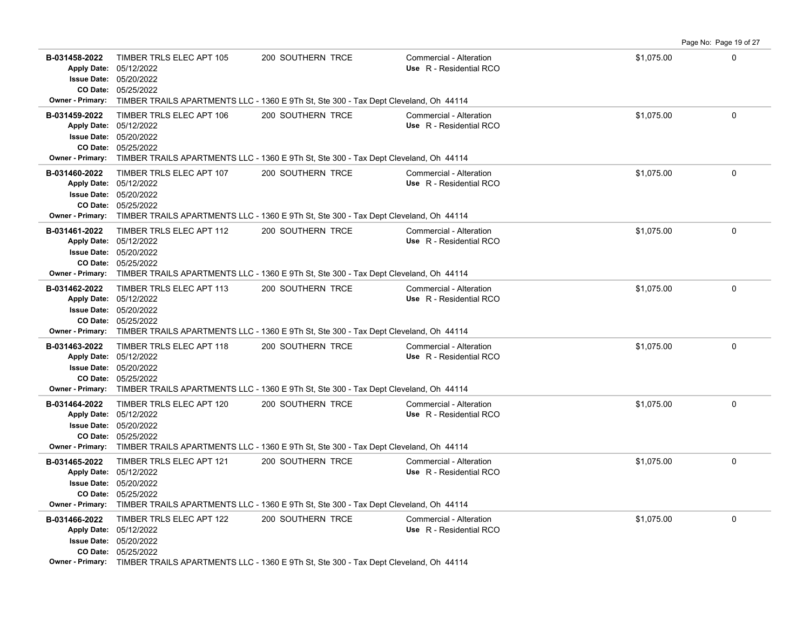|                                                                                |                                                                                                            |                                                                                                                                 |                                                    |            | Page No: Page 19 of 27 |
|--------------------------------------------------------------------------------|------------------------------------------------------------------------------------------------------------|---------------------------------------------------------------------------------------------------------------------------------|----------------------------------------------------|------------|------------------------|
| B-031458-2022<br>CO Date:<br><b>Owner - Primary:</b>                           | TIMBER TRLS ELEC APT 105<br>Apply Date: 05/12/2022<br><b>Issue Date: 05/20/2022</b><br>05/25/2022          | 200 SOUTHERN TRCE<br>TIMBER TRAILS APARTMENTS LLC - 1360 E 9Th St, Ste 300 - Tax Dept Cleveland, Oh 44114                       | Commercial - Alteration<br>Use R - Residential RCO | \$1,075.00 | $\mathbf 0$            |
| B-031459-2022<br>Apply Date: 05/12/2022<br>CO Date:<br><b>Owner - Primary:</b> | TIMBER TRLS ELEC APT 106<br><b>Issue Date: 05/20/2022</b><br>05/25/2022                                    | 200 SOUTHERN TRCE<br>TIMBER TRAILS APARTMENTS LLC - 1360 E 9Th St, Ste 300 - Tax Dept Cleveland, Oh 44114                       | Commercial - Alteration<br>Use R - Residential RCO | \$1,075.00 | 0                      |
| B-031460-2022<br><b>Apply Date:</b><br><b>Owner - Primary:</b>                 | TIMBER TRLS ELEC APT 107<br>05/12/2022<br><b>Issue Date: 05/20/2022</b><br>CO Date: 05/25/2022             | 200 SOUTHERN TRCE<br>TIMBER TRAILS APARTMENTS LLC - 1360 E 9Th St, Ste 300 - Tax Dept Cleveland, Oh 44114                       | Commercial - Alteration<br>Use R - Residential RCO | \$1,075.00 | $\Omega$               |
| B-031461-2022<br>CO Date:<br><b>Owner - Primary:</b>                           | TIMBER TRLS ELEC APT 112<br>Apply Date: 05/12/2022<br><b>Issue Date: 05/20/2022</b><br>05/25/2022          | 200 SOUTHERN TRCE<br>TIMBER TRAILS APARTMENTS LLC - 1360 E 9Th St, Ste 300 - Tax Dept Cleveland, Oh 44114                       | Commercial - Alteration<br>Use R - Residential RCO | \$1,075.00 | 0                      |
| B-031462-2022<br><b>Owner - Primary:</b>                                       | TIMBER TRLS ELEC APT 113<br>Apply Date: 05/12/2022<br><b>Issue Date: 05/20/2022</b><br>CO Date: 05/25/2022 | 200 SOUTHERN TRCE<br>TIMBER TRAILS APARTMENTS LLC - 1360 E 9Th St, Ste 300 - Tax Dept Cleveland, Oh 44114                       | Commercial - Alteration<br>Use R - Residential RCO | \$1,075.00 | 0                      |
| B-031463-2022<br><b>Owner - Primary:</b>                                       | TIMBER TRLS ELEC APT 118<br>Apply Date: 05/12/2022<br><b>Issue Date: 05/20/2022</b><br>CO Date: 05/25/2022 | 200 SOUTHERN TRCE<br>TIMBER TRAILS APARTMENTS LLC - 1360 E 9Th St, Ste 300 - Tax Dept Cleveland, Oh 44114                       | Commercial - Alteration<br>Use R - Residential RCO | \$1,075.00 | 0                      |
| B-031464-2022                                                                  | TIMBER TRLS ELEC APT 120<br>Apply Date: 05/12/2022<br><b>Issue Date: 05/20/2022</b><br>CO Date: 05/25/2022 | 200 SOUTHERN TRCE<br>Owner - Primary: TIMBER TRAILS APARTMENTS LLC - 1360 E 9Th St, Ste 300 - Tax Dept Cleveland, Oh 44114      | Commercial - Alteration<br>Use R - Residential RCO | \$1,075.00 | 0                      |
| B-031465-2022<br><b>Issue Date:</b><br><b>Owner - Primary:</b>                 | TIMBER TRLS ELEC APT 121<br>Apply Date: 05/12/2022<br>05/20/2022<br>CO Date: 05/25/2022                    | 200 SOUTHERN TRCE<br>TIMBER TRAILS APARTMENTS LLC - 1360 E 9Th St, Ste 300 - Tax Dept Cleveland, Oh 44114                       | Commercial - Alteration<br>Use R - Residential RCO | \$1,075.00 | $\Omega$               |
| B-031466-2022                                                                  | TIMBER TRLS ELEC APT 122<br>Apply Date: 05/12/2022<br><b>Issue Date: 05/20/2022</b><br>CO Date: 05/25/2022 | 200 SOUTHERN TRCE<br><b>Owner - Primary:</b> TIMBER TRAILS APARTMENTS LLC - 1360 F 9Th St Ste 300 - Tax Dent Cleveland Oh 44114 | Commercial - Alteration<br>Use R - Residential RCO | \$1,075.00 | $\Omega$               |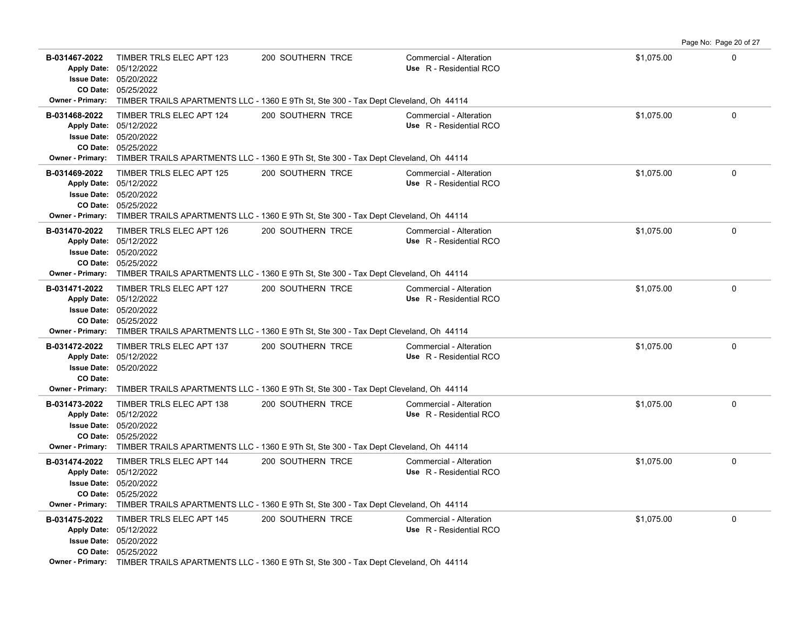|                                                                    |                                                                                                            |                                                                                                                                 |                                                    |            | Page No: Page 20 of 27 |
|--------------------------------------------------------------------|------------------------------------------------------------------------------------------------------------|---------------------------------------------------------------------------------------------------------------------------------|----------------------------------------------------|------------|------------------------|
| B-031467-2022<br>CO Date:<br><b>Owner - Primary:</b>               | TIMBER TRLS ELEC APT 123<br>Apply Date: 05/12/2022<br><b>Issue Date: 05/20/2022</b><br>05/25/2022          | 200 SOUTHERN TRCE<br>TIMBER TRAILS APARTMENTS LLC - 1360 E 9Th St, Ste 300 - Tax Dept Cleveland, Oh 44114                       | Commercial - Alteration<br>Use R - Residential RCO | \$1,075.00 | $\mathbf 0$            |
| B-031468-2022<br>Apply Date: 05/12/2022<br><b>Owner - Primary:</b> | TIMBER TRLS ELEC APT 124<br><b>Issue Date: 05/20/2022</b><br>CO Date: 05/25/2022                           | 200 SOUTHERN TRCE<br>TIMBER TRAILS APARTMENTS LLC - 1360 E 9Th St, Ste 300 - Tax Dept Cleveland, Oh 44114                       | Commercial - Alteration<br>Use R - Residential RCO | \$1,075.00 | 0                      |
| B-031469-2022<br><b>Apply Date:</b><br><b>Owner - Primary:</b>     | TIMBER TRLS ELEC APT 125<br>05/12/2022<br><b>Issue Date: 05/20/2022</b><br>CO Date: 05/25/2022             | 200 SOUTHERN TRCE<br>TIMBER TRAILS APARTMENTS LLC - 1360 E 9Th St, Ste 300 - Tax Dept Cleveland, Oh 44114                       | Commercial - Alteration<br>Use R - Residential RCO | \$1,075.00 | $\Omega$               |
| B-031470-2022<br>CO Date:                                          | TIMBER TRLS ELEC APT 126<br>Apply Date: 05/12/2022<br><b>Issue Date: 05/20/2022</b><br>05/25/2022          | 200 SOUTHERN TRCE<br>Owner - Primary: TIMBER TRAILS APARTMENTS LLC - 1360 E 9Th St, Ste 300 - Tax Dept Cleveland, Oh 44114      | Commercial - Alteration<br>Use R - Residential RCO | \$1,075.00 | 0                      |
| B-031471-2022<br><b>Owner - Primary:</b>                           | TIMBER TRLS ELEC APT 127<br>Apply Date: 05/12/2022<br><b>Issue Date: 05/20/2022</b><br>CO Date: 05/25/2022 | 200 SOUTHERN TRCE<br>TIMBER TRAILS APARTMENTS LLC - 1360 E 9Th St, Ste 300 - Tax Dept Cleveland, Oh 44114                       | Commercial - Alteration<br>Use R - Residential RCO | \$1,075.00 | 0                      |
| B-031472-2022<br>CO Date:<br><b>Owner - Primary:</b>               | TIMBER TRLS ELEC APT 137<br>Apply Date: 05/12/2022<br><b>Issue Date: 05/20/2022</b>                        | 200 SOUTHERN TRCE<br>TIMBER TRAILS APARTMENTS LLC - 1360 E 9Th St, Ste 300 - Tax Dept Cleveland, Oh 44114                       | Commercial - Alteration<br>Use R - Residential RCO | \$1,075.00 | 0                      |
| B-031473-2022                                                      | TIMBER TRLS ELEC APT 138<br>Apply Date: 05/12/2022<br><b>Issue Date: 05/20/2022</b><br>CO Date: 05/25/2022 | 200 SOUTHERN TRCE<br>Owner - Primary: TIMBER TRAILS APARTMENTS LLC - 1360 E 9Th St, Ste 300 - Tax Dept Cleveland, Oh 44114      | Commercial - Alteration<br>Use R - Residential RCO | \$1,075.00 | $\mathbf 0$            |
| B-031474-2022<br><b>Issue Date:</b><br><b>Owner - Primary:</b>     | TIMBER TRLS ELEC APT 144<br>Apply Date: 05/12/2022<br>05/20/2022<br>CO Date: 05/25/2022                    | 200 SOUTHERN TRCE<br>TIMBER TRAILS APARTMENTS LLC - 1360 E 9Th St, Ste 300 - Tax Dept Cleveland, Oh 44114                       | Commercial - Alteration<br>Use R - Residential RCO | \$1,075.00 | $\Omega$               |
| B-031475-2022                                                      | TIMBER TRLS ELEC APT 145<br>Apply Date: 05/12/2022<br><b>Issue Date: 05/20/2022</b><br>CO Date: 05/25/2022 | 200 SOUTHERN TRCE<br><b>Owner - Primary:</b> TIMBER TRAILS APARTMENTS LLC - 1360 F 9Th St Ste 300 - Tax Dent Cleveland Oh 44114 | Commercial - Alteration<br>Use R - Residential RCO | \$1,075.00 | $\Omega$               |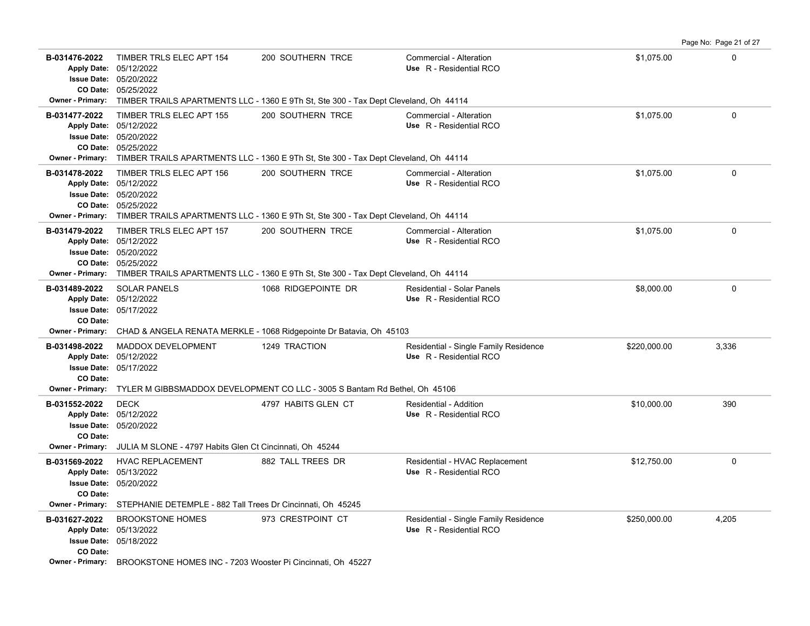|                                                                                                      |                                                                                                                                                                                           |                                                                                      |                                                                  |              | Page No: Page 21 of 27 |
|------------------------------------------------------------------------------------------------------|-------------------------------------------------------------------------------------------------------------------------------------------------------------------------------------------|--------------------------------------------------------------------------------------|------------------------------------------------------------------|--------------|------------------------|
| B-031476-2022<br>Apply Date: 05/12/2022<br><b>Owner - Primary:</b>                                   | TIMBER TRLS ELEC APT 154<br><b>Issue Date: 05/20/2022</b><br>CO Date: 05/25/2022                                                                                                          | 200 SOUTHERN TRCE                                                                    | Commercial - Alteration<br>Use R - Residential RCO               | \$1,075.00   | $\Omega$               |
|                                                                                                      |                                                                                                                                                                                           | TIMBER TRAILS APARTMENTS LLC - 1360 E 9Th St, Ste 300 - Tax Dept Cleveland, Oh 44114 |                                                                  |              |                        |
| B-031477-2022<br>Apply Date: 05/12/2022                                                              | TIMBER TRLS ELEC APT 155<br><b>Issue Date: 05/20/2022</b><br>CO Date: 05/25/2022<br>Owner - Primary: TIMBER TRAILS APARTMENTS LLC - 1360 E 9Th St, Ste 300 - Tax Dept Cleveland, Oh 44114 | 200 SOUTHERN TRCE                                                                    | Commercial - Alteration<br>Use R - Residential RCO               | \$1.075.00   | $\Omega$               |
| B-031478-2022<br>Apply Date: 05/12/2022<br><b>Owner - Primary:</b>                                   | TIMBER TRLS ELEC APT 156<br><b>Issue Date: 05/20/2022</b><br>CO Date: 05/25/2022<br>TIMBER TRAILS APARTMENTS LLC - 1360 E 9Th St, Ste 300 - Tax Dept Cleveland, Oh 44114                  | 200 SOUTHERN TRCE                                                                    | Commercial - Alteration<br>Use R - Residential RCO               | \$1,075.00   | $\Omega$               |
| B-031479-2022<br>Apply Date: 05/12/2022<br><b>Owner - Primary:</b>                                   | TIMBER TRLS ELEC APT 157<br><b>Issue Date: 05/20/2022</b><br>CO Date: 05/25/2022<br>TIMBER TRAILS APARTMENTS LLC - 1360 E 9Th St, Ste 300 - Tax Dept Cleveland, Oh 44114                  | 200 SOUTHERN TRCE                                                                    | Commercial - Alteration<br>Use R - Residential RCO               | \$1,075.00   | 0                      |
| B-031489-2022<br><b>Apply Date:</b><br><b>Issue Date:</b><br>CO Date:                                | <b>SOLAR PANELS</b><br>05/12/2022<br>05/17/2022                                                                                                                                           | 1068 RIDGEPOINTE DR                                                                  | Residential - Solar Panels<br>Use R - Residential RCO            | \$8,000.00   | $\mathbf 0$            |
| <b>Owner - Primary:</b>                                                                              |                                                                                                                                                                                           | CHAD & ANGELA RENATA MERKLE - 1068 Ridgepointe Dr Batavia, Oh 45103                  |                                                                  |              |                        |
| B-031498-2022<br><b>Apply Date:</b><br><b>Issue Date:</b><br>CO Date:                                | MADDOX DEVELOPMENT<br>05/12/2022<br>05/17/2022                                                                                                                                            | 1249 TRACTION                                                                        | Residential - Single Family Residence<br>Use R - Residential RCO | \$220,000.00 | 3,336                  |
|                                                                                                      | Owner - Primary: TYLER M GIBBSMADDOX DEVELOPMENT CO LLC - 3005 S Bantam Rd Bethel, Oh 45106                                                                                               |                                                                                      |                                                                  |              |                        |
| B-031552-2022<br>Apply Date: 05/12/2022<br>CO Date:                                                  | <b>DECK</b><br><b>Issue Date: 05/20/2022</b>                                                                                                                                              | 4797 HABITS GLEN CT                                                                  | Residential - Addition<br>Use R - Residential RCO                | \$10,000.00  | 390                    |
| <b>Owner - Primary:</b>                                                                              | JULIA M SLONE - 4797 Habits Glen Ct Cincinnati, Oh 45244                                                                                                                                  |                                                                                      |                                                                  |              |                        |
| B-031569-2022<br>Apply Date: 05/13/2022<br><b>Issue Date:</b><br>CO Date:<br><b>Owner - Primary:</b> | <b>HVAC REPLACEMENT</b><br>05/20/2022<br>STEPHANIE DETEMPLE - 882 Tall Trees Dr Cincinnati, Oh 45245                                                                                      | 882 TALL TREES DR                                                                    | Residential - HVAC Replacement<br>Use R - Residential RCO        | \$12,750.00  | 0                      |
| B-031627-2022<br>Apply Date: 05/13/2022<br>CO Date:<br><b>Owner - Primary:</b>                       | <b>BROOKSTONE HOMES</b><br>Issue Date: 05/18/2022<br>BROOKSTONE HOMES INC - 7203 Wooster Pi Cincinnati, Oh 45227                                                                          | 973 CRESTPOINT CT                                                                    | Residential - Single Family Residence<br>Use R - Residential RCO | \$250,000.00 | 4,205                  |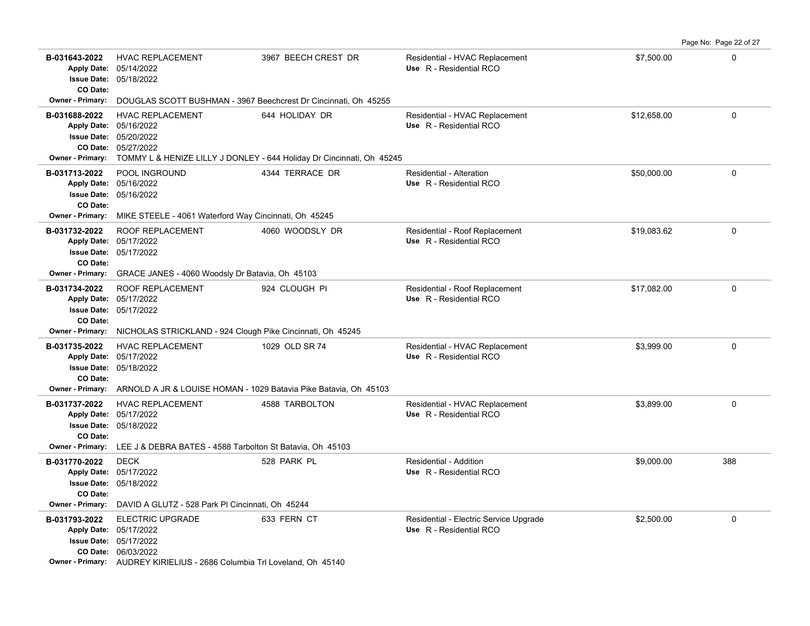**B-031643-2022** \$7,500.00 0 HVAC REPLACEMENT 3967 BEECH CREST DR Residential - HVAC Replacement 05/18/2022 **Issue Date:** Apply Date: 05/14/2022 **Apply Date: Use** R - Residential RCO **CO Date: Owner - Primary:** DOUGLAS SCOTT BUSHMAN - 3967 Beechcrest Dr Cincinnati, Oh 45255 **B-031688-2022** \$12,658.00 0 HVAC REPLACEMENT 644 HOLIDAY DR Residential - HVAC Replacement 05/27/2022 **CO Date:** 05/20/2022 **Issue Date:** 05/16/2022 **Apply Date: Use** R - Residential RCO **Owner - Primary:** TOMMY L & HENIZE LILLY J DONLEY - 644 Holiday Dr Cincinnati, Oh 45245 **B-031713-2022** \$50,000.00 0 05/16/2022 **Issue Date:** 05/16/2022 **Apply Date: Use** R - Residential RCO POOL INGROUND 4344 TERRACE DR Residential - Alteration **CO Date: Owner - Primary:** MIKE STEELE - 4061 Waterford Way Cincinnati, Oh 45245 B-031732-2022 ROOF REPLACEMENT 4060 WOODSLY DR Residential - Roof Replacement \$19,083.62 0 05/17/2022 **Issue Date:** Apply Date: 05/17/2022 **Apply Date: Use** R - Residential RCO **CO Date: Owner - Primary:** GRACE JANES - 4060 Woodsly Dr Batavia, Oh 45103 **B-031734-2022** ROOF REPLACEMENT 924 CLOUGH PI Residential - Roof Replacement \$17,082.00 \$17,082.00 05/17/2022 **Issue Date:** Apply Date: 05/17/2022 **Apply Date: Use** R - Residential RCO **CO Date: Owner - Primary:** NICHOLAS STRICKLAND - 924 Clough Pike Cincinnati, Oh 45245 **B-031735-2022** HVAC REPLACEMENT 1029 OLD SR 74 Residential - HVAC Replacement \$3,999.00 \$3,999.00 05/18/2022 **Issue Date:** Apply Date: 05/17/2022 **Apply Date: Use** R - Residential RCO **CO Date: Owner - Primary:** ARNOLD A JR & LOUISE HOMAN - 1029 Batavia Pike Batavia, Oh 45103 **B-031737-2022** HVAC REPLACEMENT 4588 TARBOLTON Residential - HVAC Replacement \$3,899.00 \$3,899.00 05/18/2022 **Issue Date:** Apply Date: 05/17/2022 **Apply Date: Use** R - Residential RCO **CO Date: Owner - Primary:** LEE J & DEBRA BATES - 4588 Tarbolton St Batavia, Oh 45103 **B-031770-2022** \$9,000.00 388 05/18/2022 **Issue Date:** Apply Date: 05/17/2022 DECK 528 PARK PL Residential - Addition **Apply Date: Use** R - Residential RCO **CO Date: Owner - Primary:** DAVID A GLUTZ - 528 Park Pl Cincinnati, Oh 45244 **B-031793-2022** \$2,500.00 0 ELECTRIC UPGRADE 633 FERN CT Residential - Electric Service Upgrade 06/03/2022 **CO Date:** 05/17/2022 **Issue Date:** Apply Date: 05/17/2022 **Apply Date: Use** R - Residential RCO **Owner - Primary:** AUDREY KIRIELIUS - 2686 Columbia Trl Loveland, Oh 45140

Page No: Page 22 of 27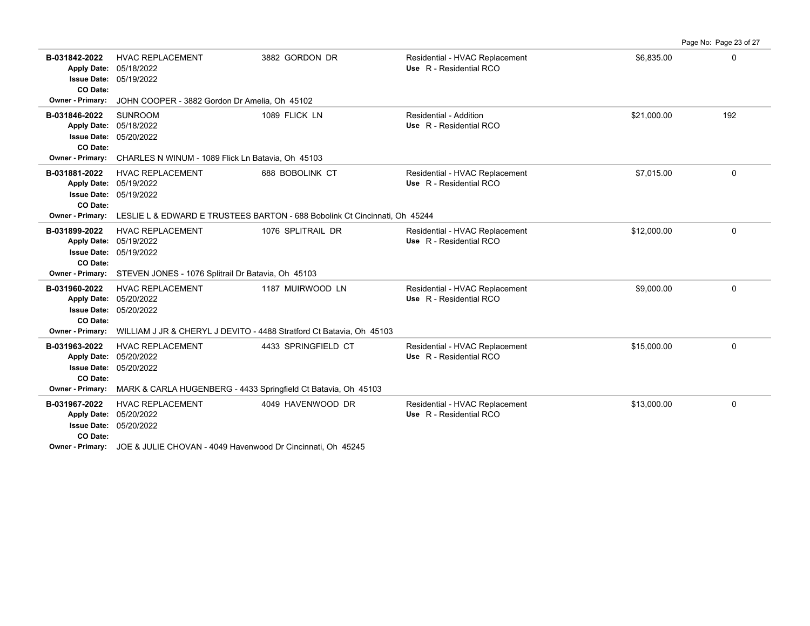|                                                                                                  |                                                                                                                       |                                                                            |                                                           |             | Page No: Page 23 of 27 |
|--------------------------------------------------------------------------------------------------|-----------------------------------------------------------------------------------------------------------------------|----------------------------------------------------------------------------|-----------------------------------------------------------|-------------|------------------------|
| B-031842-2022<br><b>Issue Date:</b><br>CO Date:                                                  | <b>HVAC REPLACEMENT</b><br>Apply Date: 05/18/2022<br>05/19/2022                                                       | 3882 GORDON DR                                                             | Residential - HVAC Replacement<br>Use R - Residential RCO | \$6.835.00  | 0                      |
| Owner - Primary:                                                                                 | JOHN COOPER - 3882 Gordon Dr Amelia, Oh 45102                                                                         |                                                                            |                                                           |             |                        |
| B-031846-2022<br><b>Apply Date:</b><br><b>Issue Date:</b><br>CO Date:                            | <b>SUNROOM</b><br>05/18/2022<br>05/20/2022                                                                            | 1089 FLICK LN                                                              | Residential - Addition<br>Use R - Residential RCO         | \$21,000.00 | 192                    |
| Owner - Primary:                                                                                 | CHARLES N WINUM - 1089 Flick Ln Batavia, Oh 45103                                                                     |                                                                            |                                                           |             |                        |
| B-031881-2022<br><b>Apply Date:</b><br><b>Issue Date:</b><br>CO Date:                            | <b>HVAC REPLACEMENT</b><br>05/19/2022<br>05/19/2022                                                                   | 688 BOBOLINK CT                                                            | Residential - HVAC Replacement<br>Use R - Residential RCO | \$7,015.00  | 0                      |
| Owner - Primary:                                                                                 |                                                                                                                       | LESLIE L & EDWARD E TRUSTEES BARTON - 688 Bobolink Ct Cincinnati. Oh 45244 |                                                           |             |                        |
| B-031899-2022<br><b>Apply Date:</b><br><b>Issue Date:</b><br>CO Date:                            | <b>HVAC REPLACEMENT</b><br>05/19/2022<br>05/19/2022                                                                   | 1076 SPLITRAIL DR                                                          | Residential - HVAC Replacement<br>Use R - Residential RCO | \$12,000.00 | 0                      |
| Owner - Primary:                                                                                 | STEVEN JONES - 1076 Splitrail Dr Batavia, Oh 45103                                                                    |                                                                            |                                                           |             |                        |
| B-031960-2022<br><b>Apply Date:</b><br><b>Issue Date:</b><br>CO Date:                            | <b>HVAC REPLACEMENT</b><br>05/20/2022<br>05/20/2022                                                                   | 1187 MUIRWOOD LN                                                           | Residential - HVAC Replacement<br>Use R - Residential RCO | \$9,000.00  | 0                      |
| <b>Owner - Primary:</b>                                                                          | WILLIAM J JR & CHERYL J DEVITO - 4488 Stratford Ct Batavia, Oh 45103                                                  |                                                                            |                                                           |             |                        |
| B-031963-2022<br><b>Apply Date:</b><br><b>Issue Date:</b><br>CO Date:<br><b>Owner - Primary:</b> | <b>HVAC REPLACEMENT</b><br>05/20/2022<br>05/20/2022<br>MARK & CARLA HUGENBERG - 4433 Springfield Ct Batavia, Oh 45103 | 4433 SPRINGFIELD CT                                                        | Residential - HVAC Replacement<br>Use R - Residential RCO | \$15,000.00 | 0                      |
|                                                                                                  |                                                                                                                       |                                                                            |                                                           |             |                        |
| B-031967-2022<br><b>Apply Date:</b><br><b>Issue Date:</b><br>CO Date:                            | <b>HVAC REPLACEMENT</b><br>05/20/2022<br>05/20/2022                                                                   | 4049 HAVENWOOD DR                                                          | Residential - HVAC Replacement<br>Use R - Residential RCO | \$13,000.00 | 0                      |
|                                                                                                  | $100 - 211111 - 21121111 - 21211$                                                                                     |                                                                            |                                                           |             |                        |

**Owner - Primary:** JOE & JULIE CHOVAN - 4049 Havenwood Dr Cincinnati, Oh 45245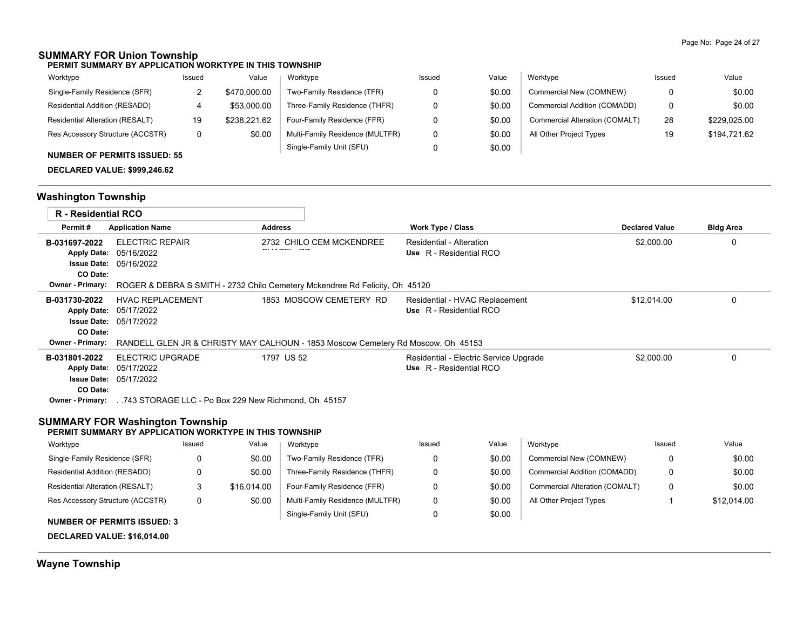# **SUMMARY FOR Union Township**

**PERMIT SUMMARY BY APPLICATION WORKTYPE IN THIS TOWNSHIP**

| Worktype                               | Issued | Value        | Worktype                        | Issued | Value  | Worktype                       | Issued | Value        |
|----------------------------------------|--------|--------------|---------------------------------|--------|--------|--------------------------------|--------|--------------|
| Single-Family Residence (SFR)          |        | \$470,000.00 | Two-Family Residence (TFR)      |        | \$0.00 | Commercial New (COMNEW)        |        | \$0.00       |
| Residential Addition (RESADD)          |        | \$53,000.00  | Three-Family Residence (THFR)   |        | \$0.00 | Commercial Addition (COMADD)   |        | \$0.00       |
| <b>Residential Alteration (RESALT)</b> | 19     | \$238.221.62 | Four-Family Residence (FFR)     |        | \$0.00 | Commercial Alteration (COMALT) | 28     | \$229.025.00 |
| Res Accessory Structure (ACCSTR)       |        | \$0.00       | Multi-Family Residence (MULTFR) |        | \$0.00 | All Other Project Types        | 19     | \$194,721.62 |
|                                        |        |              | Single-Family Unit (SFU)        |        | \$0.00 |                                |        |              |

### **NUMBER OF PERMITS ISSUED: 55**

**DECLARED VALUE: \$999,246.62**

# **Washington Township**

| <b>R</b> - Residential RCO                                                                                           |                                                                        |          |                |                                                                                                             |                                                     |                                        |                                |                       |                  |
|----------------------------------------------------------------------------------------------------------------------|------------------------------------------------------------------------|----------|----------------|-------------------------------------------------------------------------------------------------------------|-----------------------------------------------------|----------------------------------------|--------------------------------|-----------------------|------------------|
| Permit#                                                                                                              | <b>Application Name</b>                                                |          | <b>Address</b> |                                                                                                             | <b>Work Type / Class</b>                            |                                        |                                | <b>Declared Value</b> | <b>Bldg Area</b> |
| B-031697-2022<br><b>Apply Date:</b><br><b>Issue Date:</b><br>CO Date:<br><b>Owner - Primary:</b>                     | <b>ELECTRIC REPAIR</b><br>05/16/2022<br>05/16/2022                     |          |                | 2732 CHILO CEM MCKENDREE<br>ROGER & DEBRA S SMITH - 2732 Chilo Cemetery Mckendree Rd Felicity, Oh 45120     | Residential - Alteration<br>Use R - Residential RCO |                                        |                                | \$2,000.00            | 0                |
| B-031730-2022<br><b>Apply Date:</b><br><b>Issue Date:</b><br>CO Date:<br><b>Owner - Primary:</b>                     | <b>HVAC REPLACEMENT</b><br>05/17/2022<br>05/17/2022                    |          |                | 1853 MOSCOW CEMETERY RD<br>RANDELL GLEN JR & CHRISTY MAY CALHOUN - 1853 Moscow Cemetery Rd Moscow, Oh 45153 | Use R - Residential RCO                             | Residential - HVAC Replacement         |                                | \$12.014.00           | 0                |
| B-031801-2022<br><b>Apply Date:</b><br>CO Date:<br><b>Owner - Primary:</b><br><b>SUMMARY FOR Washington Township</b> | <b>ELECTRIC UPGRADE</b><br>05/17/2022<br><b>Issue Date: 05/17/2022</b> |          |                | 1797 US 52<br>743 STORAGE LLC - Po Box 229 New Richmond, Oh 45157                                           | Use R - Residential RCO                             | Residential - Electric Service Upgrade |                                | \$2,000.00            | 0                |
| PERMIT SUMMARY BY APPLICATION WORKTYPE IN THIS TOWNSHIP                                                              |                                                                        |          |                |                                                                                                             |                                                     |                                        |                                |                       |                  |
| Worktype                                                                                                             |                                                                        | Issued   | Value          | Worktype                                                                                                    | Issued                                              | Value                                  | Worktype                       | Issued                | Value            |
| Single-Family Residence (SFR)                                                                                        |                                                                        | $\Omega$ | \$0.00         | Two-Family Residence (TFR)                                                                                  | 0                                                   | \$0.00                                 | Commercial New (COMNEW)        | $\Omega$              | \$0.00           |
| Residential Addition (RESADD)                                                                                        |                                                                        | 0        | \$0.00         | Three-Family Residence (THFR)                                                                               | 0                                                   | \$0.00                                 | Commercial Addition (COMADD)   | 0                     | \$0.00           |
| Residential Alteration (RESALT)                                                                                      |                                                                        | 3        | \$16.014.00    | Four-Family Residence (FFR)                                                                                 | $\Omega$                                            | \$0.00                                 | Commercial Alteration (COMALT) | 0                     | \$0.00           |
| Res Accessory Structure (ACCSTR)                                                                                     |                                                                        | 0        | \$0.00         | Multi-Family Residence (MULTFR)<br>Single-Family Unit (SFU)                                                 | 0<br>0                                              | \$0.00<br>\$0.00                       | All Other Project Types        |                       | \$12.014.00      |

**NUMBER OF PERMITS ISSUED: 3**

**DECLARED VALUE: \$16,014.00**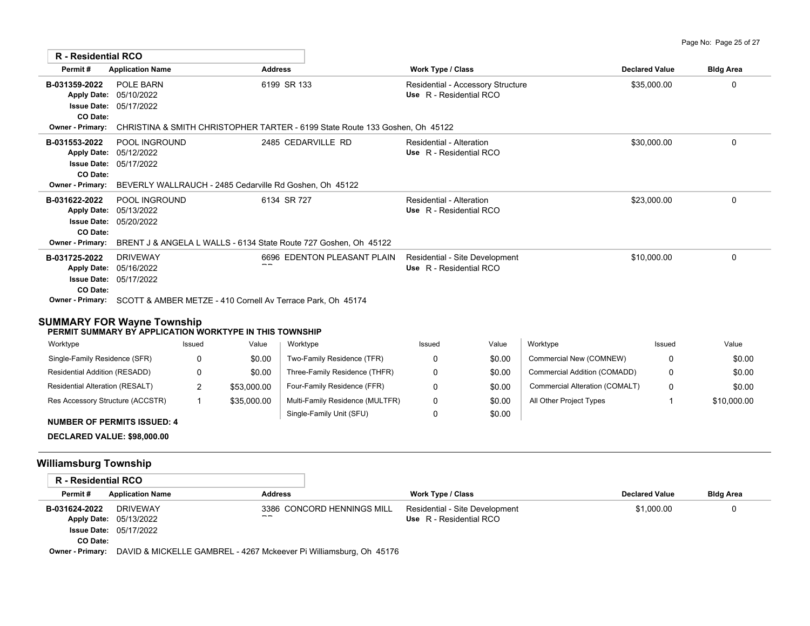| R - Residential RCO                                                                              |                                                                                                                  |                                                                                             |                                                              |                       |                  |
|--------------------------------------------------------------------------------------------------|------------------------------------------------------------------------------------------------------------------|---------------------------------------------------------------------------------------------|--------------------------------------------------------------|-----------------------|------------------|
| Permit#                                                                                          | <b>Application Name</b>                                                                                          | <b>Address</b>                                                                              | Work Type / Class                                            | <b>Declared Value</b> | <b>Bldg Area</b> |
| B-031359-2022<br><b>Apply Date:</b><br><b>Issue Date:</b><br>CO Date:<br><b>Owner - Primary:</b> | POLE BARN<br>05/10/2022<br>05/17/2022                                                                            | 6199 SR 133<br>CHRISTINA & SMITH CHRISTOPHER TARTER - 6199 State Route 133 Goshen, Oh 45122 | Residential - Accessory Structure<br>Use R - Residential RCO | \$35,000.00           | $\mathbf 0$      |
| B-031553-2022<br><b>Issue Date:</b><br>CO Date:<br><b>Owner - Primary:</b>                       | POOL INGROUND<br>Apply Date: 05/12/2022<br>05/17/2022<br>BEVERLY WALLRAUCH - 2485 Cedarville Rd Goshen, Oh 45122 | 2485 CEDARVILLE RD                                                                          | Residential - Alteration<br>Use R - Residential RCO          | \$30,000.00           | 0                |
| B-031622-2022<br><b>Apply Date:</b><br><b>Issue Date:</b><br>CO Date:<br><b>Owner - Primary:</b> | POOL INGROUND<br>05/13/2022<br>05/20/2022<br>BRENT J & ANGELA L WALLS - 6134 State Route 727 Goshen, Oh 45122    | 6134 SR 727                                                                                 | Residential - Alteration<br>Use R - Residential RCO          | \$23,000.00           | 0                |
| B-031725-2022<br><b>Apply Date:</b><br><b>Issue Date:</b><br>CO Date:<br>Owner - Primary:        | <b>DRIVEWAY</b><br>05/16/2022<br>05/17/2022<br>SCOTT & AMBER METZE - 410 Cornell Av Terrace Park, Oh 45174       | 6696 EDENTON PLEASANT PLAIN                                                                 | Residential - Site Development<br>Use R - Residential RCO    | \$10,000.00           | 0                |

## **SUMMARY FOR Wayne Township**

### **PERMIT SUMMARY BY APPLICATION WORKTYPE IN THIS TOWNSHIP**

| Worktype                         | Issued | Value       | Worktype                        | Issued | Value  | Worktype                       | Issued | Value       |
|----------------------------------|--------|-------------|---------------------------------|--------|--------|--------------------------------|--------|-------------|
| Single-Family Residence (SFR)    |        | \$0.00      | Two-Family Residence (TFR)      |        | \$0.00 | Commercial New (COMNEW)        |        | \$0.00      |
| Residential Addition (RESADD)    |        | \$0.00      | Three-Family Residence (THFR)   |        | \$0.00 | Commercial Addition (COMADD)   |        | \$0.00      |
| Residential Alteration (RESALT)  | ∼      | \$53,000.00 | Four-Family Residence (FFR)     |        | \$0.00 | Commercial Alteration (COMALT) |        | \$0.00      |
| Res Accessory Structure (ACCSTR) |        | \$35,000.00 | Multi-Family Residence (MULTFR) |        | \$0.00 | All Other Project Types        |        | \$10,000.00 |
| $\blacksquare$                   |        |             | Single-Family Unit (SFU)        |        | \$0.00 |                                |        |             |

#### **NUMBER OF PERMITS ISSUED: 4**

**DECLARED VALUE: \$98,000.00**

# **Williamsburg Township**

| R - Residential RCO |                               |                                                                    |                                |                       |                  |
|---------------------|-------------------------------|--------------------------------------------------------------------|--------------------------------|-----------------------|------------------|
| Permit#             | <b>Application Name</b>       | <b>Address</b>                                                     | <b>Work Type / Class</b>       | <b>Declared Value</b> | <b>Bldg Area</b> |
| B-031624-2022       | DRIVEWAY                      | 3386 CONCORD HENNINGS MILL                                         | Residential - Site Development | \$1,000.00            |                  |
|                     | Apply Date: 05/13/2022        | $- -$                                                              | Use R - Residential RCO        |                       |                  |
|                     | <b>Issue Date: 05/17/2022</b> |                                                                    |                                |                       |                  |
| CO Date:            |                               |                                                                    |                                |                       |                  |
| Owner - Primary:    |                               | DAVID & MICKELLE GAMBREL - 4267 Mckeever Pi Williamsburg, Oh 45176 |                                |                       |                  |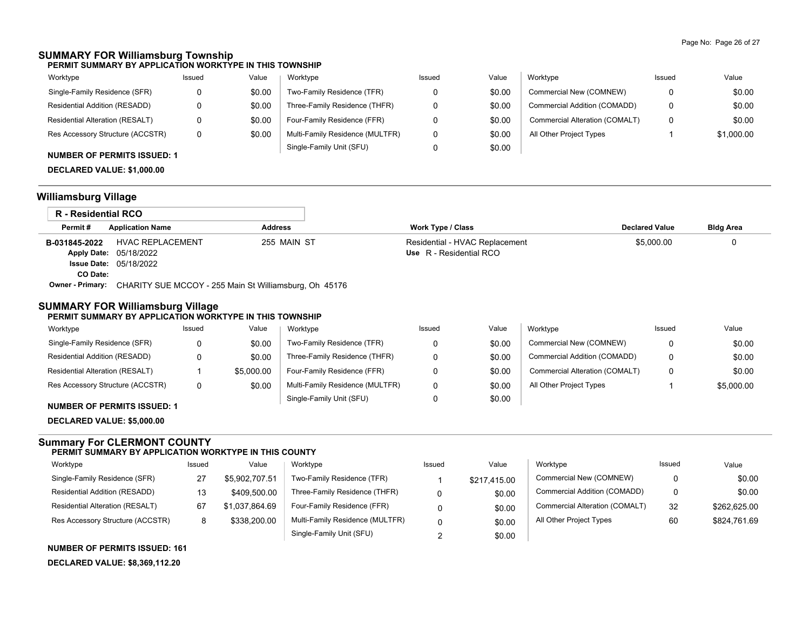## **SUMMARY FOR Williamsburg Township**

**PERMIT SUMMARY BY APPLICATION WORKTYPE IN THIS TOWNSHIP**

| Worktype                               | Issued | Value  | Worktype                        | Issued | Value  | Worktype                       | Issued | Value      |
|----------------------------------------|--------|--------|---------------------------------|--------|--------|--------------------------------|--------|------------|
| Single-Family Residence (SFR)          |        | \$0.00 | Two-Family Residence (TFR)      |        | \$0.00 | Commercial New (COMNEW)        |        | \$0.00     |
| Residential Addition (RESADD)          |        | \$0.00 | Three-Family Residence (THFR)   |        | \$0.00 | Commercial Addition (COMADD)   |        | \$0.00     |
| <b>Residential Alteration (RESALT)</b> |        | \$0.00 | Four-Family Residence (FFR)     |        | \$0.00 | Commercial Alteration (COMALT) |        | \$0.00     |
| Res Accessory Structure (ACCSTR)       |        | \$0.00 | Multi-Family Residence (MULTFR) |        | \$0.00 | All Other Project Types        |        | \$1,000.00 |
|                                        |        |        | Single-Family Unit (SFU)        |        | \$0.00 |                                |        |            |

# **NUMBER OF PERMITS ISSUED: 1**

**DECLARED VALUE: \$1,000.00**

## **Williamsburg Village**

| R - Residential RCO     |                                                        |                |                                |                       |                  |
|-------------------------|--------------------------------------------------------|----------------|--------------------------------|-----------------------|------------------|
| Permit#                 | <b>Application Name</b>                                | <b>Address</b> | <b>Work Type / Class</b>       | <b>Declared Value</b> | <b>Bldg Area</b> |
| B-031845-2022           | <b>HVAC REPLACEMENT</b>                                | 255 MAIN ST    | Residential - HVAC Replacement | \$5,000.00            |                  |
|                         | <b>Apply Date: 05/18/2022</b>                          |                | Use R - Residential RCO        |                       |                  |
|                         | <b>Issue Date: 05/18/2022</b>                          |                |                                |                       |                  |
| CO Date:                |                                                        |                |                                |                       |                  |
| <b>Owner - Primary:</b> | CHARITY SUE MCCOY - 255 Main St Williamsburg, Oh 45176 |                |                                |                       |                  |

## **SUMMARY FOR Williamsburg Village**

#### **PERMIT SUMMARY BY APPLICATION WORKTYPE IN THIS TOWNSHIP**

| Worktype                         | Issued | Value      | Worktype                        | Issued | Value  | Worktype                       | Issued | Value      |
|----------------------------------|--------|------------|---------------------------------|--------|--------|--------------------------------|--------|------------|
| Single-Family Residence (SFR)    | 0      | \$0.00     | Two-Family Residence (TFR)      |        | \$0.00 | Commercial New (COMNEW)        | 0      | \$0.00     |
| Residential Addition (RESADD)    | 0      | \$0.00     | Three-Family Residence (THFR)   |        | \$0.00 | Commercial Addition (COMADD)   | 0      | \$0.00     |
| Residential Alteration (RESALT)  |        | \$5,000.00 | Four-Family Residence (FFR)     |        | \$0.00 | Commercial Alteration (COMALT) | 0      | \$0.00     |
| Res Accessory Structure (ACCSTR) | 0      | \$0.00     | Multi-Family Residence (MULTFR) |        | \$0.00 | All Other Project Types        |        | \$5,000.00 |
|                                  |        |            | Single-Family Unit (SFU)        |        | \$0.00 |                                |        |            |

## **NUMBER OF PERMITS ISSUED: 1**

**DECLARED VALUE: \$5,000.00**

### **Summary For CLERMONT COUNTY PERMIT SUMMARY BY APPLICATION WORKTYPE IN THIS COUNTY**

| Worktype                         | Issued | Value          | Worktype                        | Issued | Value        | Worktvpe                       | Issued | Value        |
|----------------------------------|--------|----------------|---------------------------------|--------|--------------|--------------------------------|--------|--------------|
| Single-Family Residence (SFR)    | 27     | \$5.902.707.51 | Two-Family Residence (TFR)      |        | \$217,415.00 | Commercial New (COMNEW)        | 0      | \$0.00       |
| Residential Addition (RESADD)    | 13     | \$409,500.00   | Three-Family Residence (THFR)   |        | \$0.00       | Commercial Addition (COMADD)   | 0      | \$0.00       |
| Residential Alteration (RESALT)  | 67     | \$1.037.864.69 | Four-Family Residence (FFR)     |        | \$0.00       | Commercial Alteration (COMALT) | 32     | \$262,625.00 |
| Res Accessory Structure (ACCSTR) | 8      | \$338,200.00   | Multi-Family Residence (MULTFR) |        | \$0.00       | All Other Project Types        | 60     | \$824.761.69 |
|                                  |        |                | Single-Family Unit (SFU)        |        | \$0.00       |                                |        |              |

**NUMBER OF PERMITS ISSUED: 161**

**DECLARED VALUE: \$8,369,112.20**